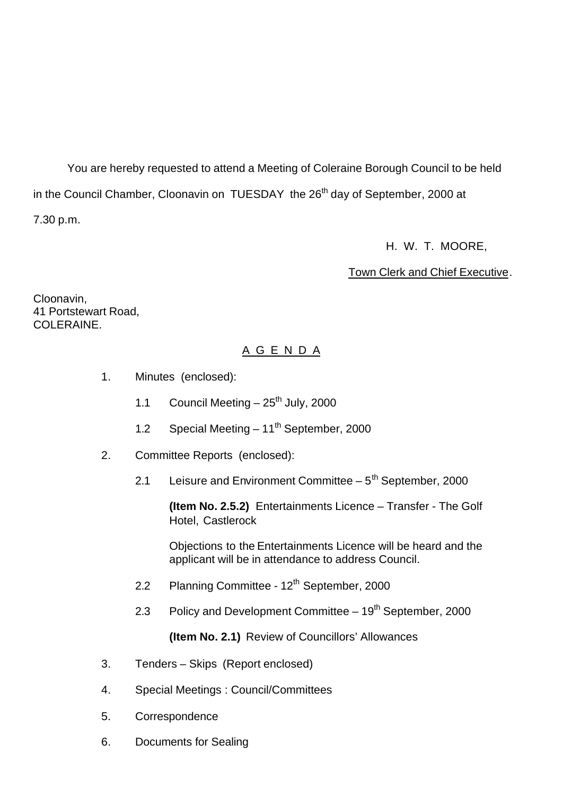You are hereby requested to attend a Meeting of Coleraine Borough Council to be held in the Council Chamber, Cloonavin on TUESDAY the 26<sup>th</sup> day of September, 2000 at

7.30 p.m.

H. W. T. MOORE,

Town Clerk and Chief Executive.

Cloonavin, 41 Portstewart Road, COLERAINE.

# A G E N D A

- 1. Minutes (enclosed):
	- 1.1 Council Meeting  $-25<sup>th</sup>$  July, 2000
	- 1.2 Special Meeting  $-11^{th}$  September, 2000
- 2. Committee Reports (enclosed):
	- 2.1 Leisure and Environment Committee  $-5<sup>th</sup>$  September, 2000

**(Item No. 2.5.2)** Entertainments Licence – Transfer - The Golf Hotel, Castlerock

Objections to the Entertainments Licence will be heard and the applicant will be in attendance to address Council.

- 2.2 Planning Committee 12<sup>th</sup> September, 2000
- 2.3 Policy and Development Committee 19<sup>th</sup> September, 2000

**(Item No. 2.1)** Review of Councillors' Allowances

- 3. Tenders Skips (Report enclosed)
- 4. Special Meetings : Council/Committees
- 5. Correspondence
- 6. Documents for Sealing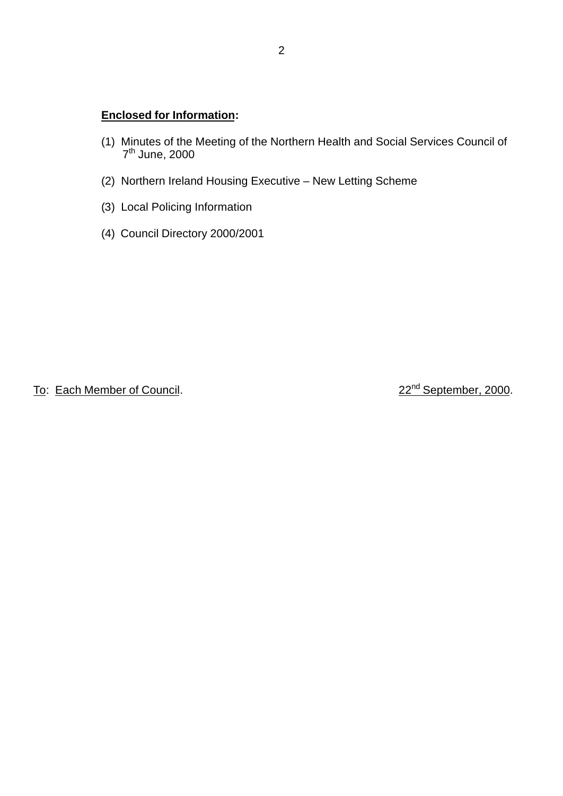# **Enclosed for Information:**

- (1) Minutes of the Meeting of the Northern Health and Social Services Council of  $\frac{1}{2}$  7<sup>th</sup> June, 2000
- (2) Northern Ireland Housing Executive New Letting Scheme
- (3) Local Policing Information
- (4) Council Directory 2000/2001

To: Each Member of Council. 22<sup>nd</sup> September, 2000.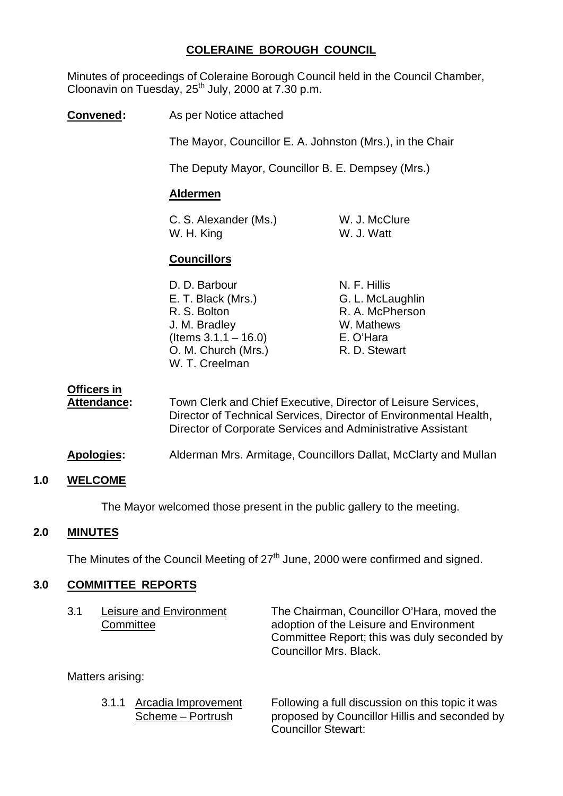# **COLERAINE BOROUGH COUNCIL**

Minutes of proceedings of Coleraine Borough Council held in the Council Chamber, Cloonavin on Tuesday,  $25<sup>th</sup>$  July, 2000 at  $7.30$  p.m.

**Convened:** As per Notice attached

The Mayor, Councillor E. A. Johnston (Mrs.), in the Chair

The Deputy Mayor, Councillor B. E. Dempsey (Mrs.)

## **Aldermen**

C. S. Alexander (Ms.) W. J. McClure W. H. King W. J. Watt

# **Councillors**

| D. D. Barbour           | N. F. Hillis     |
|-------------------------|------------------|
| E. T. Black (Mrs.)      | G. L. McLaughlin |
| R. S. Bolton            | R. A. McPherson  |
| J. M. Bradley           | W. Mathews       |
| (Items $3.1.1 - 16.0$ ) | E. O'Hara        |
| O. M. Church (Mrs.)     | R. D. Stewart    |
| W. T. Creelman          |                  |
|                         |                  |

**Officers in**

Attendance: Town Clerk and Chief Executive, Director of Leisure Services, Director of Technical Services, Director of Environmental Health, Director of Corporate Services and Administrative Assistant

**Apologies:** Alderman Mrs. Armitage, Councillors Dallat, McClarty and Mullan

## **1.0 WELCOME**

The Mayor welcomed those present in the public gallery to the meeting.

## **2.0 MINUTES**

The Minutes of the Council Meeting of  $27<sup>th</sup>$  June, 2000 were confirmed and signed.

## **3.0 COMMITTEE REPORTS**

| 3.1 | Leisure and Environment | The Chairman, Councillor O'Hara, moved the  |
|-----|-------------------------|---------------------------------------------|
|     | Committee               | adoption of the Leisure and Environment     |
|     |                         | Committee Report; this was duly seconded by |
|     |                         | Councillor Mrs. Black.                      |

Matters arising:

3.1.1 Arcadia Improvement Following a full discussion on this topic it was Scheme – Portrush proposed by Councillor Hillis and seconded by Councillor Stewart: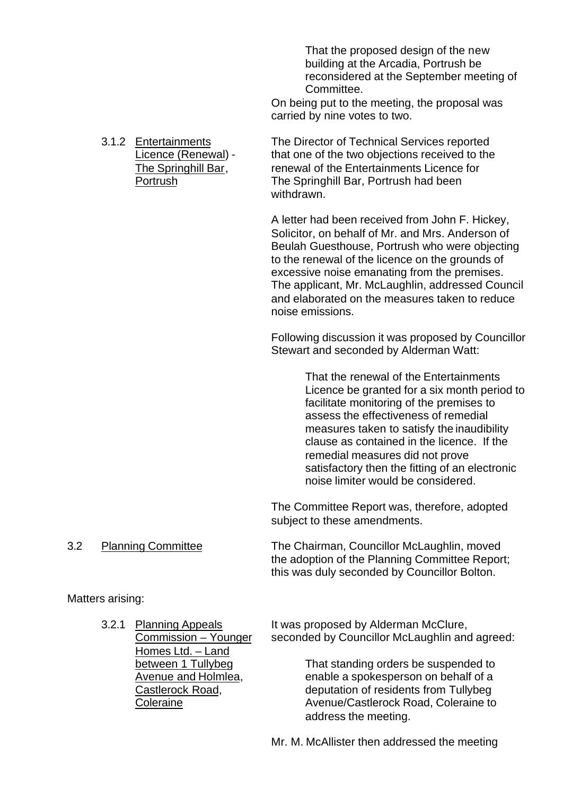That the proposed design of the new building at the Arcadia, Portrush be reconsidered at the September meeting of Committee.

On being put to the meeting, the proposal was carried by nine votes to two.

3.1.2 Entertainments The Director of Technical Services reported Licence (Renewal) - that one of the two objections received to the The Springhill Bar, renewal of the Entertainments Licence for Portrush The Springhill Bar, Portrush had been withdrawn.

> A letter had been received from John F. Hickey, Solicitor, on behalf of Mr. and Mrs. Anderson of Beulah Guesthouse, Portrush who were objecting to the renewal of the licence on the grounds of excessive noise emanating from the premises. The applicant, Mr. McLaughlin, addressed Council and elaborated on the measures taken to reduce noise emissions.

> Following discussion it was proposed by Councillor Stewart and seconded by Alderman Watt:

> > That the renewal of the Entertainments Licence be granted for a six month period to facilitate monitoring of the premises to assess the effectiveness of remedial measures taken to satisfy the inaudibility clause as contained in the licence. If the remedial measures did not prove satisfactory then the fitting of an electronic noise limiter would be considered.

The Committee Report was, therefore, adopted subject to these amendments.

3.2 Planning Committee The Chairman, Councillor McLaughlin, moved the adoption of the Planning Committee Report; this was duly seconded by Councillor Bolton.

Matters arising:

Homes Ltd. – Land

3.2.1 Planning Appeals It was proposed by Alderman McClure, Commission – Younger seconded by Councillor McLaughlin and agreed:

between 1 Tullybeg That standing orders be suspended to Avenue and Holmlea, enable a spokesperson on behalf of a Castlerock Road, deputation of residents from Tullybeg Coleraine **Coleraine Avenue/Castlerock Road, Coleraine to** address the meeting.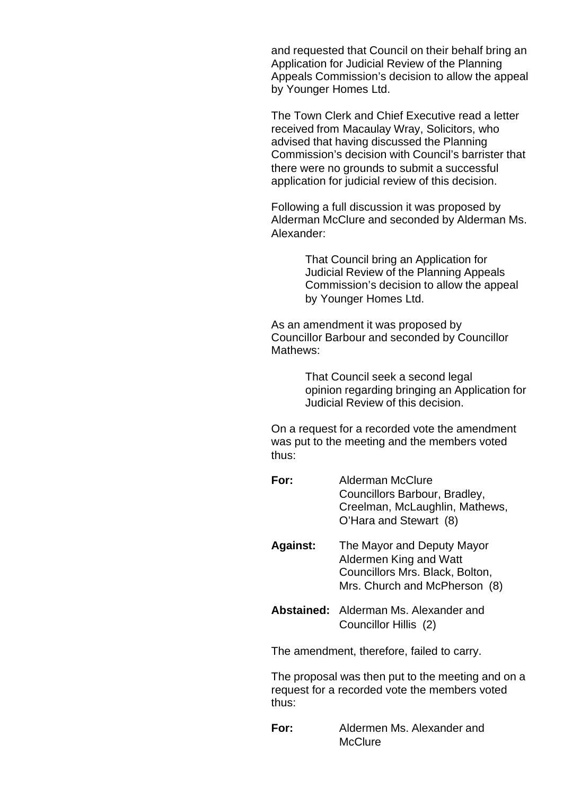and requested that Council on their behalf bring an Application for Judicial Review of the Planning Appeals Commission's decision to allow the appeal by Younger Homes Ltd.

The Town Clerk and Chief Executive read a letter received from Macaulay Wray, Solicitors, who advised that having discussed the Planning Commission's decision with Council's barrister that there were no grounds to submit a successful application for judicial review of this decision.

Following a full discussion it was proposed by Alderman McClure and seconded by Alderman Ms. Alexander:

> That Council bring an Application for Judicial Review of the Planning Appeals Commission's decision to allow the appeal by Younger Homes Ltd.

As an amendment it was proposed by Councillor Barbour and seconded by Councillor Mathews:

> That Council seek a second legal opinion regarding bringing an Application for Judicial Review of this decision.

On a request for a recorded vote the amendment was put to the meeting and the members voted thus:

- **For:** Alderman McClure Councillors Barbour, Bradley, Creelman, McLaughlin, Mathews, O'Hara and Stewart (8)
- **Against:** The Mayor and Deputy Mayor Aldermen King and Watt Councillors Mrs. Black, Bolton, Mrs. Church and McPherson (8)
- **Abstained:** Alderman Ms. Alexander and Councillor Hillis (2)

The amendment, therefore, failed to carry.

The proposal was then put to the meeting and on a request for a recorded vote the members voted thus:

**For:** Aldermen Ms. Alexander and **McClure**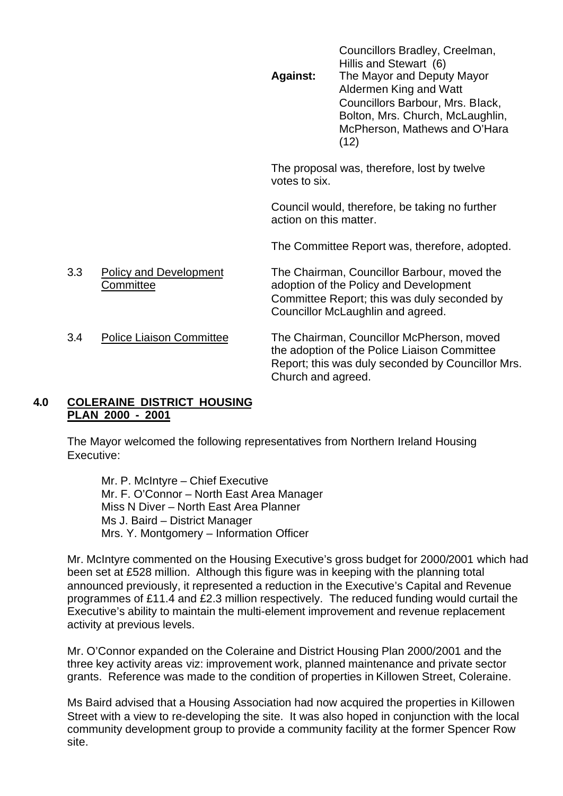Councillors Bradley, Creelman, Hillis and Stewart (6) **Against:** The Mayor and Deputy Mayor Aldermen King and Watt Councillors Barbour, Mrs. Black, Bolton, Mrs. Church, McLaughlin, McPherson, Mathews and O'Hara (12)

The proposal was, therefore, lost by twelve votes to six.

Council would, therefore, be taking no further action on this matter.

The Committee Report was, therefore, adopted.

3.3 Policy and Development The Chairman, Councillor Barbour, moved the Committee adoption of the Policy and Development Committee Report; this was duly seconded by Councillor McLaughlin and agreed.

3.4 Police Liaison Committee The Chairman, Councillor McPherson, moved the adoption of the Police Liaison Committee Report; this was duly seconded by Councillor Mrs. Church and agreed.

## **4.0 COLERAINE DISTRICT HOUSING PLAN 2000 - 2001**

The Mayor welcomed the following representatives from Northern Ireland Housing Executive:

Mr. P. McIntyre – Chief Executive Mr. F. O'Connor – North East Area Manager Miss N Diver – North East Area Planner Ms J. Baird – District Manager Mrs. Y. Montgomery – Information Officer

Mr. McIntyre commented on the Housing Executive's gross budget for 2000/2001 which had been set at £528 million. Although this figure was in keeping with the planning total announced previously, it represented a reduction in the Executive's Capital and Revenue programmes of £11.4 and £2.3 million respectively. The reduced funding would curtail the Executive's ability to maintain the multi-element improvement and revenue replacement activity at previous levels.

Mr. O'Connor expanded on the Coleraine and District Housing Plan 2000/2001 and the three key activity areas viz: improvement work, planned maintenance and private sector grants. Reference was made to the condition of properties in Killowen Street, Coleraine.

Ms Baird advised that a Housing Association had now acquired the properties in Killowen Street with a view to re-developing the site. It was also hoped in conjunction with the local community development group to provide a community facility at the former Spencer Row site.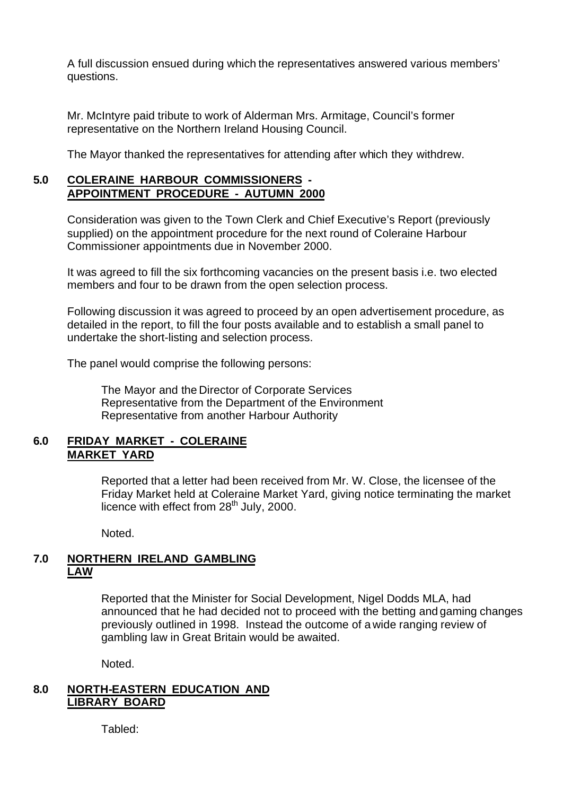A full discussion ensued during which the representatives answered various members' questions.

Mr. McIntyre paid tribute to work of Alderman Mrs. Armitage, Council's former representative on the Northern Ireland Housing Council.

The Mayor thanked the representatives for attending after which they withdrew.

# **5.0 COLERAINE HARBOUR COMMISSIONERS - APPOINTMENT PROCEDURE - AUTUMN 2000**

Consideration was given to the Town Clerk and Chief Executive's Report (previously supplied) on the appointment procedure for the next round of Coleraine Harbour Commissioner appointments due in November 2000.

It was agreed to fill the six forthcoming vacancies on the present basis i.e. two elected members and four to be drawn from the open selection process.

Following discussion it was agreed to proceed by an open advertisement procedure, as detailed in the report, to fill the four posts available and to establish a small panel to undertake the short-listing and selection process.

The panel would comprise the following persons:

The Mayor and the Director of Corporate Services Representative from the Department of the Environment Representative from another Harbour Authority

# **6.0 FRIDAY MARKET - COLERAINE MARKET YARD**

Reported that a letter had been received from Mr. W. Close, the licensee of the Friday Market held at Coleraine Market Yard, giving notice terminating the market licence with effect from  $28<sup>th</sup>$  July, 2000.

Noted.

## **7.0 NORTHERN IRELAND GAMBLING LAW**

Reported that the Minister for Social Development, Nigel Dodds MLA, had announced that he had decided not to proceed with the betting and gaming changes previously outlined in 1998. Instead the outcome of a wide ranging review of gambling law in Great Britain would be awaited.

Noted.

# **8.0 NORTH-EASTERN EDUCATION AND LIBRARY BOARD**

Tabled: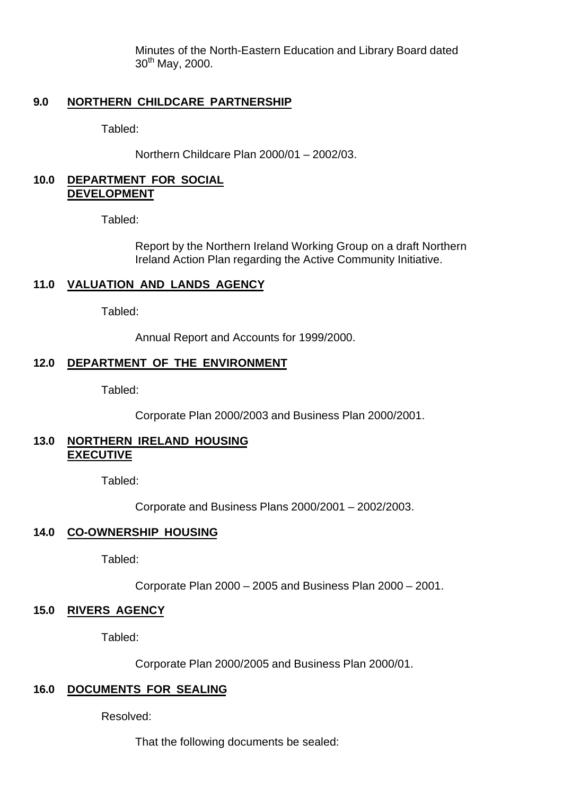Minutes of the North-Eastern Education and Library Board dated  $30^{th}$  May, 2000.

## **9.0 NORTHERN CHILDCARE PARTNERSHIP**

Tabled:

Northern Childcare Plan 2000/01 – 2002/03.

## **10.0 DEPARTMENT FOR SOCIAL DEVELOPMENT**

Tabled:

Report by the Northern Ireland Working Group on a draft Northern Ireland Action Plan regarding the Active Community Initiative.

## **11.0 VALUATION AND LANDS AGENCY**

Tabled:

Annual Report and Accounts for 1999/2000.

### **12.0 DEPARTMENT OF THE ENVIRONMENT**

Tabled:

Corporate Plan 2000/2003 and Business Plan 2000/2001.

## **13.0 NORTHERN IRELAND HOUSING EXECUTIVE**

Tabled:

Corporate and Business Plans 2000/2001 – 2002/2003.

## **14.0 CO-OWNERSHIP HOUSING**

Tabled:

Corporate Plan 2000 – 2005 and Business Plan 2000 – 2001.

### **15.0 RIVERS AGENCY**

Tabled:

Corporate Plan 2000/2005 and Business Plan 2000/01.

# **16.0 DOCUMENTS FOR SEALING**

Resolved:

That the following documents be sealed: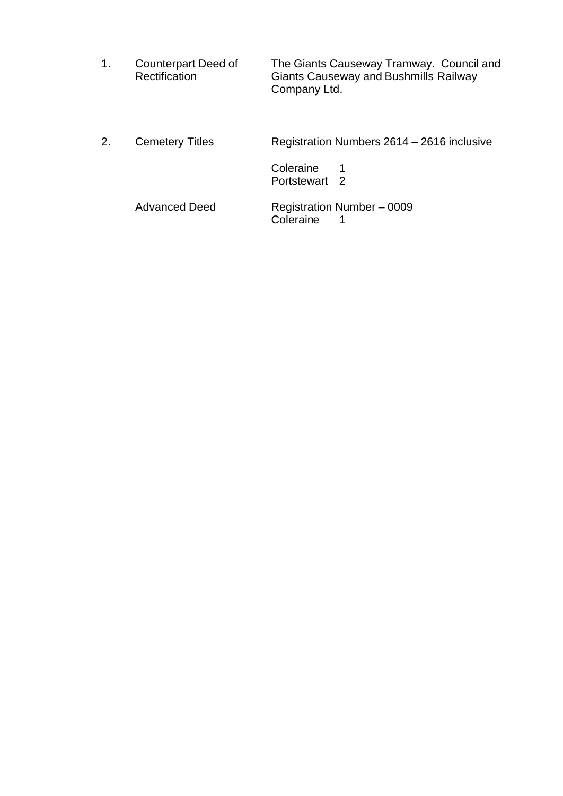| Counterpart Deed of | The Giants Causeway Tramway. Council and     |
|---------------------|----------------------------------------------|
| Rectification       | <b>Giants Causeway and Bushmills Railway</b> |
|                     | Company Ltd.                                 |

2. Cemetery Titles Registration Numbers 2614 – 2616 inclusive

Coleraine 1 Portstewart 2

Advanced Deed Registration Number – 0009 Coleraine 1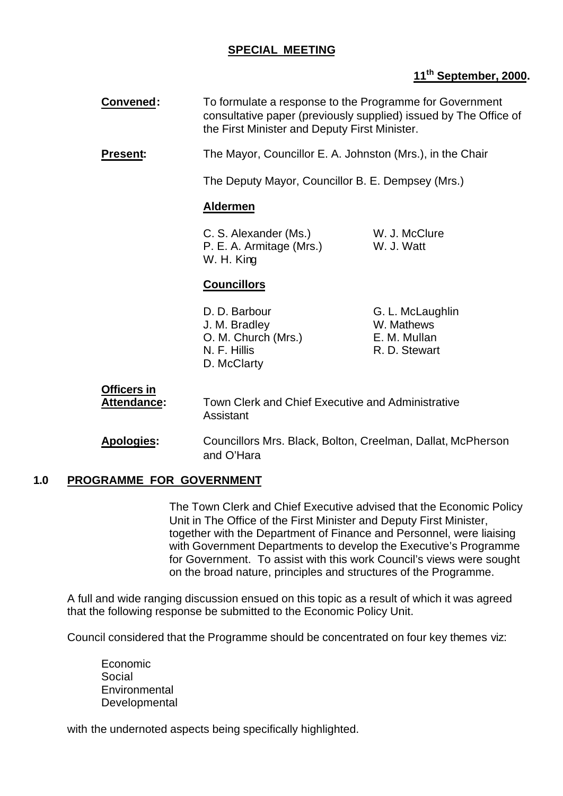# **SPECIAL MEETING**

**Convened:** To formulate a response to the Programme for Government

# **11th September, 2000.**

|     |                                          | consultative paper (previously supplied) issued by The Office of<br>the First Minister and Deputy First Minister. |                                                                 |
|-----|------------------------------------------|-------------------------------------------------------------------------------------------------------------------|-----------------------------------------------------------------|
|     | <b>Present:</b>                          | The Mayor, Councillor E. A. Johnston (Mrs.), in the Chair                                                         |                                                                 |
|     |                                          | The Deputy Mayor, Councillor B. E. Dempsey (Mrs.)                                                                 |                                                                 |
|     |                                          | <b>Aldermen</b>                                                                                                   |                                                                 |
|     |                                          | C. S. Alexander (Ms.)<br>P. E. A. Armitage (Mrs.)<br>W. H. King                                                   | W. J. McClure<br>W. J. Watt                                     |
|     |                                          | <b>Councillors</b>                                                                                                |                                                                 |
|     |                                          | D. D. Barbour<br>J. M. Bradley<br>O. M. Church (Mrs.)<br>N. F. Hillis<br>D. McClarty                              | G. L. McLaughlin<br>W. Mathews<br>E. M. Mullan<br>R. D. Stewart |
|     | <b>Officers in</b><br><b>Attendance:</b> | <b>Town Clerk and Chief Executive and Administrative</b><br>Assistant                                             |                                                                 |
|     | Apologies:                               | Councillors Mrs. Black, Bolton, Creelman, Dallat, McPherson<br>and O'Hara                                         |                                                                 |
| 1.0 | <b>PROGRAMME FOR GOVERNMENT</b>          |                                                                                                                   |                                                                 |

The Town Clerk and Chief Executive advised that the Economic Policy Unit in The Office of the First Minister and Deputy First Minister, together with the Department of Finance and Personnel, were liaising with Government Departments to develop the Executive's Programme for Government. To assist with this work Council's views were sought on the broad nature, principles and structures of the Programme.

A full and wide ranging discussion ensued on this topic as a result of which it was agreed that the following response be submitted to the Economic Policy Unit.

Council considered that the Programme should be concentrated on four key themes viz:

Economic Social **Environmental Developmental** 

with the undernoted aspects being specifically highlighted.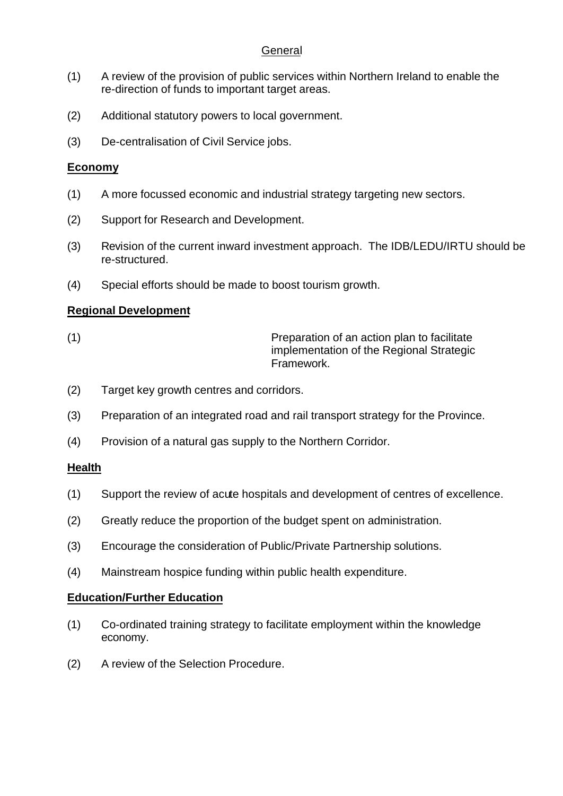# **General**

- (1) A review of the provision of public services within Northern Ireland to enable the re-direction of funds to important target areas.
- (2) Additional statutory powers to local government.
- (3) De-centralisation of Civil Service jobs.

## **Economy**

- (1) A more focussed economic and industrial strategy targeting new sectors.
- (2) Support for Research and Development.
- (3) Revision of the current inward investment approach. The IDB/LEDU/IRTU should be re-structured.
- (4) Special efforts should be made to boost tourism growth.

# **Regional Development**

(1) Preparation of an action plan to facilitate implementation of the Regional Strategic Framework.

- (2) Target key growth centres and corridors.
- (3) Preparation of an integrated road and rail transport strategy for the Province.
- (4) Provision of a natural gas supply to the Northern Corridor.

## **Health**

- (1) Support the review of acute hospitals and development of centres of excellence.
- (2) Greatly reduce the proportion of the budget spent on administration.
- (3) Encourage the consideration of Public/Private Partnership solutions.
- (4) Mainstream hospice funding within public health expenditure.

## **Education/Further Education**

- (1) Co-ordinated training strategy to facilitate employment within the knowledge economy.
- (2) A review of the Selection Procedure.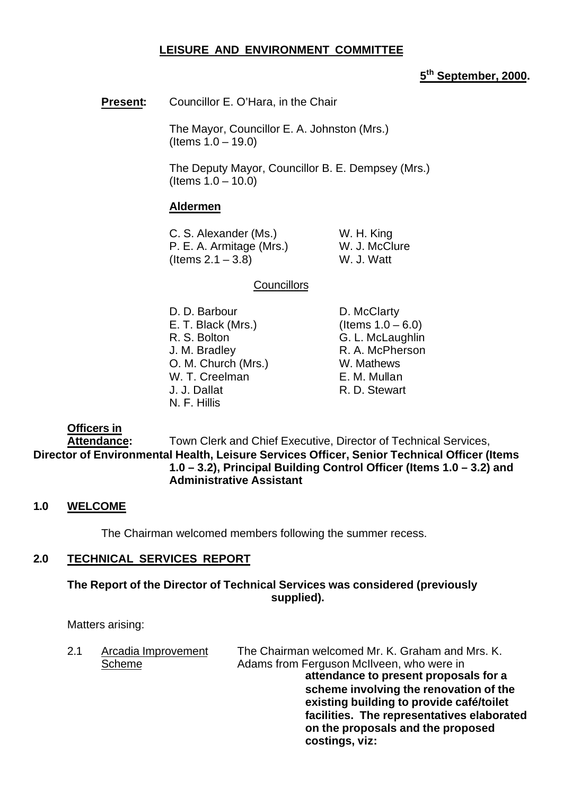## **LEISURE AND ENVIRONMENT COMMITTEE**

# **5 th September, 2000.**

**Present:** Councillor E. O'Hara, in the Chair

The Mayor, Councillor E. A. Johnston (Mrs.) (Items 1.0 – 19.0)

The Deputy Mayor, Councillor B. E. Dempsey (Mrs.) (Items 1.0 – 10.0)

## **Aldermen**

C. S. Alexander (Ms.) W. H. King P. E. A. Armitage (Mrs.) W. J. McClure  $($  Items  $2.1 - 3.8)$  W. J. Watt

### **Councillors**

D. D. Barbour D. McClarty E. T. Black (Mrs.) (Items  $1.0 - 6.0$ ) R. S. Bolton G. L. McLaughlin J. M. Bradley **R. A. McPherson** O. M. Church (Mrs.) W. Mathews W. T. Creelman E. M. Mullan J. J. Dallat R. D. Stewart N. F. Hillis

## **Officers in**

**Attendance:** Town Clerk and Chief Executive, Director of Technical Services, **Director of Environmental Health, Leisure Services Officer, Senior Technical Officer (Items 1.0 – 3.2), Principal Building Control Officer (Items 1.0 – 3.2) and Administrative Assistant**

### **1.0 WELCOME**

The Chairman welcomed members following the summer recess.

## **2.0 TECHNICAL SERVICES REPORT**

## **The Report of the Director of Technical Services was considered (previously supplied).**

Matters arising:

| 2.1 | Arcadia Improvement | The Chairman welcomed Mr. K. Graham and Mrs. K. |
|-----|---------------------|-------------------------------------------------|
|     | <b>Scheme</b>       | Adams from Ferguson McIIveen, who were in       |
|     |                     | attendance to present proposals for a           |
|     |                     | scheme involving the renovation of the          |
|     |                     | existing building to provide café/toilet        |
|     |                     | facilities. The representatives elaborated      |
|     |                     | on the proposals and the proposed               |
|     |                     | costings, viz:                                  |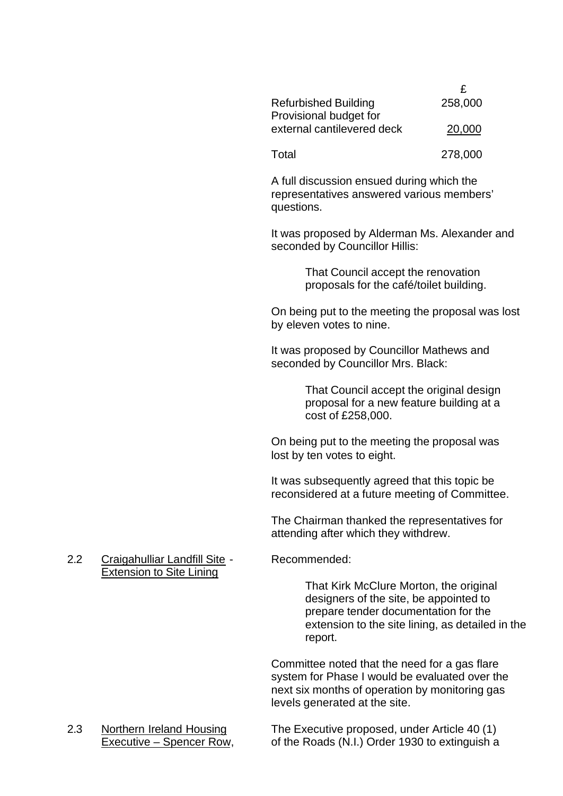|                             | £       |
|-----------------------------|---------|
| <b>Refurbished Building</b> | 258,000 |
| Provisional budget for      |         |
| external cantilevered deck  | 20,000  |
|                             |         |

Total 278,000

A full discussion ensued during which the representatives answered various members' questions.

It was proposed by Alderman Ms. Alexander and seconded by Councillor Hillis:

> That Council accept the renovation proposals for the café/toilet building.

On being put to the meeting the proposal was lost by eleven votes to nine.

It was proposed by Councillor Mathews and seconded by Councillor Mrs. Black:

> That Council accept the original design proposal for a new feature building at a cost of £258,000.

On being put to the meeting the proposal was lost by ten votes to eight.

It was subsequently agreed that this topic be reconsidered at a future meeting of Committee.

The Chairman thanked the representatives for attending after which they withdrew.

## 2.2 Craigahulliar Landfill Site - Recommended: Extension to Site Lining

That Kirk McClure Morton, the original designers of the site, be appointed to prepare tender documentation for the extension to the site lining, as detailed in the report.

Committee noted that the need for a gas flare system for Phase I would be evaluated over the next six months of operation by monitoring gas levels generated at the site.

2.3 Northern Ireland Housing The Executive proposed, under Article 40 (1) Executive – Spencer Row, of the Roads (N.I.) Order 1930 to extinguish a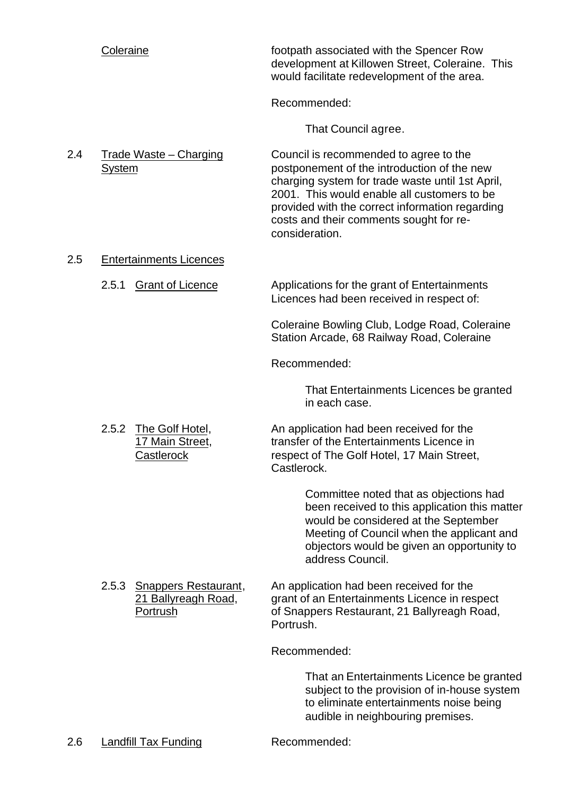Coleraine footpath associated with the Spencer Row development at Killowen Street, Coleraine. This would facilitate redevelopment of the area.

Recommended:

That Council agree.

2.4 Trade Waste – Charging Council is recommended to agree to the System postponement of the introduction of the new charging system for trade waste until 1st April, 2001. This would enable all customers to be provided with the correct information regarding costs and their comments sought for reconsideration.

## 2.5 Entertainments Licences

2.5.1 Grant of Licence Applications for the grant of Entertainments Licences had been received in respect of:

> Coleraine Bowling Club, Lodge Road, Coleraine Station Arcade, 68 Railway Road, Coleraine

Recommended:

That Entertainments Licences be granted in each case.

2.5.2 The Golf Hotel, An application had been received for the 17 Main Street, transfer of the Entertainments Licence in Castlerock respect of The Golf Hotel, 17 Main Street, Castlerock.

> Committee noted that as objections had been received to this application this matter would be considered at the September Meeting of Council when the applicant and objectors would be given an opportunity to address Council.

2.5.3 Snappers Restaurant, An application had been received for the 21 Ballyreagh Road, external of an Entertainments Licence in respect Portrush of Snappers Restaurant, 21 Ballyreagh Road, Portrush.

Recommended:

That an Entertainments Licence be granted subject to the provision of in-house system to eliminate entertainments noise being audible in neighbouring premises.

2.6 Landfill Tax Funding Recommended: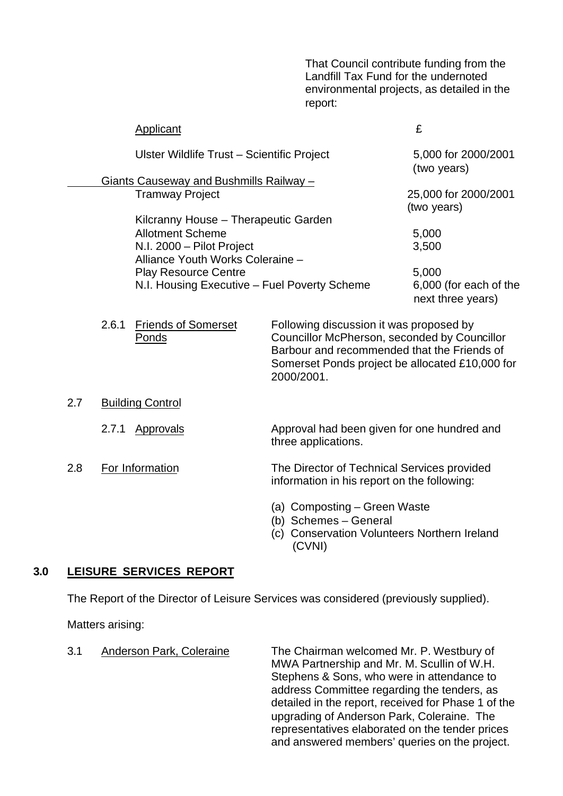That Council contribute funding from the Landfill Tax Fund for the undernoted environmental projects, as detailed in the report:

|     |       | Applicant                                    |     |                                                                                                                                                      | £                                               |
|-----|-------|----------------------------------------------|-----|------------------------------------------------------------------------------------------------------------------------------------------------------|-------------------------------------------------|
|     |       | Ulster Wildlife Trust - Scientific Project   |     |                                                                                                                                                      | 5,000 for 2000/2001                             |
|     |       |                                              |     |                                                                                                                                                      | (two years)                                     |
|     |       | Giants Causeway and Bushmills Railway -      |     |                                                                                                                                                      |                                                 |
|     |       | <b>Tramway Project</b>                       |     |                                                                                                                                                      | 25,000 for 2000/2001<br>(two years)             |
|     |       | Kilcranny House - Therapeutic Garden         |     |                                                                                                                                                      |                                                 |
|     |       | <b>Allotment Scheme</b>                      |     |                                                                                                                                                      | 5,000                                           |
|     |       | N.I. 2000 - Pilot Project                    |     |                                                                                                                                                      | 3,500                                           |
|     |       | Alliance Youth Works Coleraine -             |     |                                                                                                                                                      |                                                 |
|     |       | <b>Play Resource Centre</b>                  |     |                                                                                                                                                      | 5,000                                           |
|     |       | N.I. Housing Executive - Fuel Poverty Scheme |     |                                                                                                                                                      | 6,000 (for each of the<br>next three years)     |
|     | 2.6.1 | <b>Friends of Somerset</b><br>Ponds          |     | Following discussion it was proposed by<br>Councillor McPherson, seconded by Councillor<br>Barbour and recommended that the Friends of<br>2000/2001. | Somerset Ponds project be allocated £10,000 for |
| 2.7 |       | <b>Building Control</b>                      |     |                                                                                                                                                      |                                                 |
|     | 2.7.1 | <b>Approvals</b>                             |     | Approval had been given for one hundred and<br>three applications.                                                                                   |                                                 |
| 2.8 |       | For Information                              |     | The Director of Technical Services provided<br>information in his report on the following:                                                           |                                                 |
|     |       |                                              | (c) | (a) Composting - Green Waste<br>(b) Schemes - General<br><b>Conservation Volunteers Northern Ireland</b><br>(CVNI)                                   |                                                 |

## **3.0 LEISURE SERVICES REPORT**

The Report of the Director of Leisure Services was considered (previously supplied).

Matters arising:

3.1 Anderson Park, Coleraine The Chairman welcomed Mr. P. Westbury of MWA Partnership and Mr. M. Scullin of W.H. Stephens & Sons, who were in attendance to address Committee regarding the tenders, as detailed in the report, received for Phase 1 of the upgrading of Anderson Park, Coleraine. The representatives elaborated on the tender prices and answered members' queries on the project.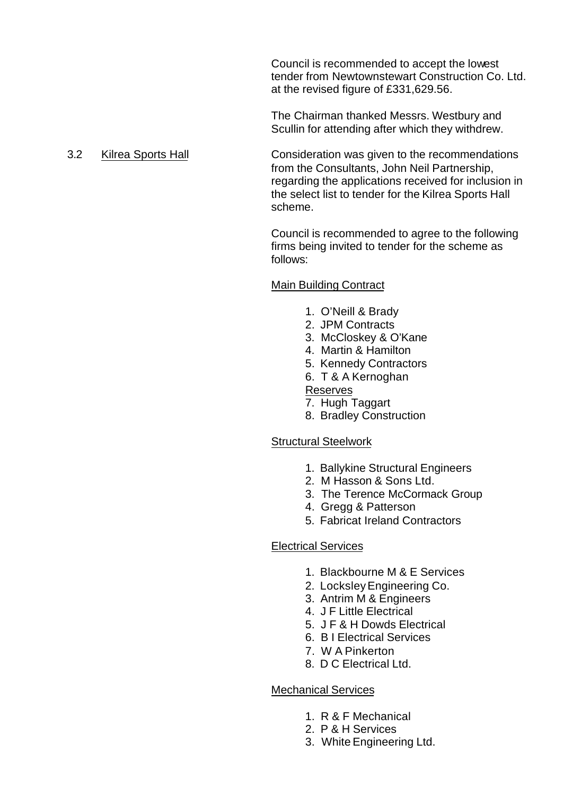Council is recommended to accept the lowest tender from Newtownstewart Construction Co. Ltd. at the revised figure of £331,629.56.

The Chairman thanked Messrs. Westbury and Scullin for attending after which they withdrew.

3.2 Kilrea Sports Hall **Consideration was given to the recommendations** from the Consultants, John Neil Partnership, regarding the applications received for inclusion in the select list to tender for the Kilrea Sports Hall scheme.

> Council is recommended to agree to the following firms being invited to tender for the scheme as follows:

## Main Building Contract

- 1. O'Neill & Brady
- 2. JPM Contracts
- 3. McCloskey & O'Kane
- 4. Martin & Hamilton
- 5. Kennedy Contractors
- 6. T & A Kernoghan

## Reserves

- 7. Hugh Taggart
- 8. Bradley Construction

### Structural Steelwork

- 1. Ballykine Structural Engineers
- 2. M Hasson & Sons Ltd.
- 3. The Terence McCormack Group
- 4. Gregg & Patterson
- 5. Fabricat Ireland Contractors

## Electrical Services

- 1. Blackbourne M & E Services
- 2. Locksley Engineering Co.
- 3. Antrim M & Engineers
- 4. J F Little Electrical
- 5. J F & H Dowds Electrical
- 6. B I Electrical Services
- 7. W A Pinkerton
- 8. D C Electrical Ltd.

## Mechanical Services

- 1. R & F Mechanical
- 2. P & H Services
- 3. White Engineering Ltd.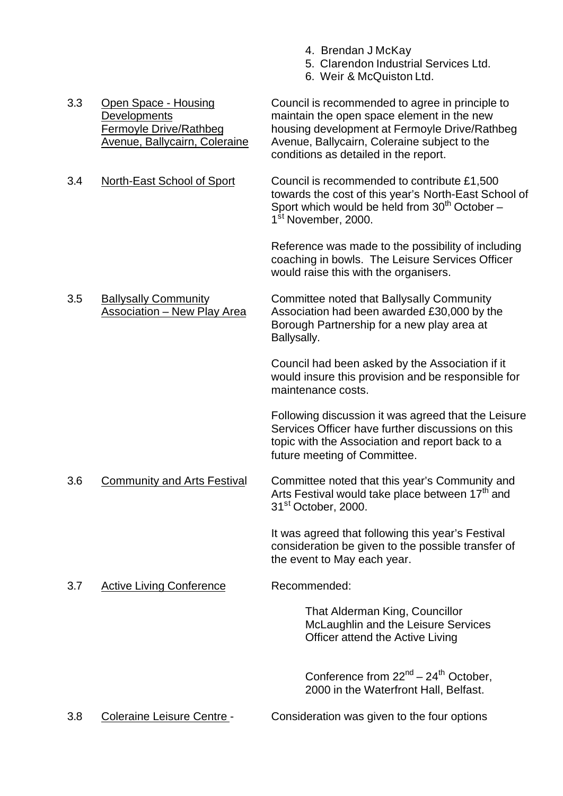- 4. Brendan J McKay
- 5. Clarendon Industrial Services Ltd.
- 6. Weir & McQuiston Ltd.
- Avenue, Ballycairn, Coleraine Avenue, Ballycairn, Coleraine subject to the conditions as detailed in the report. 3.4 North-East School of Sport Council is recommended to contribute £1,500 towards the cost of this year's North-East School of Sport which would be held from  $30<sup>th</sup>$  October – 1<sup>st</sup> November, 2000. Reference was made to the possibility of including coaching in bowls. The Leisure Services Officer would raise this with the organisers. 3.5 Ballysally Community Committee noted that Ballysally Community Association – New Play Area Association had been awarded £30,000 by the Borough Partnership for a new play area at Ballysally. Council had been asked by the Association if it would insure this provision and be responsible for maintenance costs. Following discussion it was agreed that the Leisure Services Officer have further discussions on this topic with the Association and report back to a future meeting of Committee. 3.6 Community and Arts Festival Committee noted that this year's Community and Arts Festival would take place between  $17<sup>th</sup>$  and 31<sup>st</sup> October, 2000. It was agreed that following this year's Festival consideration be given to the possible transfer of the event to May each year. 3.7 Active Living Conference Recommended: That Alderman King, Councillor McLaughlin and the Leisure Services Officer attend the Active Living Conference from  $22^{nd} - 24^{th}$  October. 2000 in the Waterfront Hall, Belfast. 3.8 Coleraine Leisure Centre - Consideration was given to the four options

3.3 Open Space - Housing Council is recommended to agree in principle to Developments maintain the open space element in the new Fermoyle Drive/Rathbeg housing development at Fermoyle Drive/Rathbeg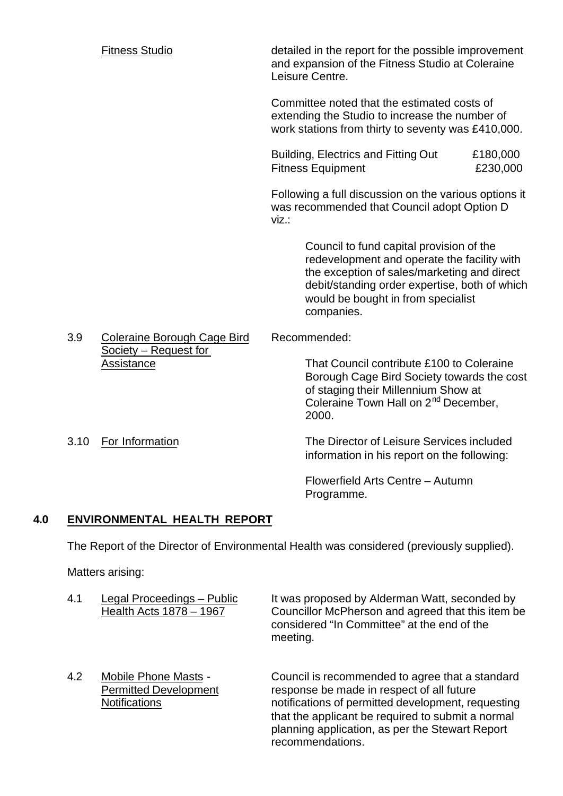|      | <b>Fitness Studio</b>               |       | detailed in the report for the possible improvement<br>and expansion of the Fitness Studio at Coleraine<br>Leisure Centre.                                                                                                                  |                      |
|------|-------------------------------------|-------|---------------------------------------------------------------------------------------------------------------------------------------------------------------------------------------------------------------------------------------------|----------------------|
|      |                                     |       | Committee noted that the estimated costs of<br>extending the Studio to increase the number of<br>work stations from thirty to seventy was £410,000.                                                                                         |                      |
|      |                                     |       | Building, Electrics and Fitting Out<br><b>Fitness Equipment</b>                                                                                                                                                                             | £180,000<br>£230,000 |
|      |                                     | viz.: | Following a full discussion on the various options it<br>was recommended that Council adopt Option D                                                                                                                                        |                      |
|      |                                     |       | Council to fund capital provision of the<br>redevelopment and operate the facility with<br>the exception of sales/marketing and direct<br>debit/standing order expertise, both of which<br>would be bought in from specialist<br>companies. |                      |
| 3.9  | <b>Coleraine Borough Cage Bird</b>  |       | Recommended:                                                                                                                                                                                                                                |                      |
|      | Society - Request for<br>Assistance |       | That Council contribute £100 to Coleraine<br>Borough Cage Bird Society towards the cost<br>of staging their Millennium Show at<br>Coleraine Town Hall on 2 <sup>nd</sup> December,<br>2000.                                                 |                      |
| 3.10 | For Information                     |       | The Director of Leisure Services included<br>information in his report on the following:                                                                                                                                                    |                      |
|      |                                     |       | Flowerfield Arts Centre - Autumn<br>Programme.                                                                                                                                                                                              |                      |
|      |                                     |       |                                                                                                                                                                                                                                             |                      |

# **4.0 ENVIRONMENTAL HEALTH REPORT**

The Report of the Director of Environmental Health was considered (previously supplied).

Matters arising:

| 4.1 | Legal Proceedings - Public<br>Health Acts 1878 - 1967                               | It was proposed by Alderman Watt, seconded by<br>Councillor McPherson and agreed that this item be<br>considered "In Committee" at the end of the<br>meeting.                                           |
|-----|-------------------------------------------------------------------------------------|---------------------------------------------------------------------------------------------------------------------------------------------------------------------------------------------------------|
| 4.2 | <b>Mobile Phone Masts -</b><br><b>Permitted Development</b><br><b>Notifications</b> | Council is recommended to agree that a standard<br>response be made in respect of all future<br>notifications of permitted development, requesting<br>that the applicant be required to submit a normal |

recommendations.

planning application, as per the Stewart Report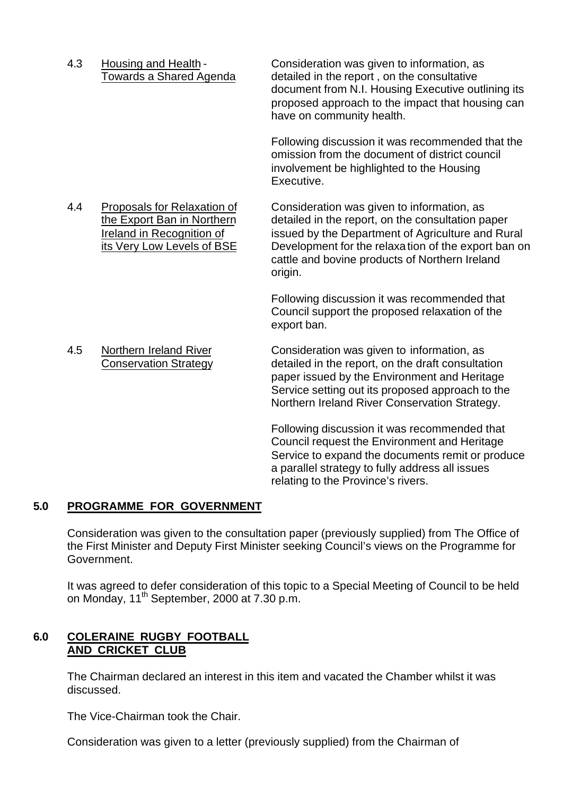4.3 Housing and Health - Consideration was given to information, as Towards a Shared Agenda detailed in the report , on the consultative

document from N.I. Housing Executive outlining its proposed approach to the impact that housing can have on community health.

Following discussion it was recommended that the omission from the document of district council involvement be highlighted to the Housing Executive.

4.4 Proposals for Relaxation of Consideration was given to information, as the Export Ban in Northern detailed in the report, on the consultation paper Ireland in Recognition of issued by the Department of Agriculture and Rural its Very Low Levels of BSE Development for the relaxation of the export ban on cattle and bovine products of Northern Ireland origin.

> Following discussion it was recommended that Council support the proposed relaxation of the export ban.

4.5 Northern Ireland River Consideration was given to information, as Conservation Strategy detailed in the report, on the draft consultation paper issued by the Environment and Heritage Service setting out its proposed approach to the Northern Ireland River Conservation Strategy.

> Following discussion it was recommended that Council request the Environment and Heritage Service to expand the documents remit or produce a parallel strategy to fully address all issues relating to the Province's rivers.

# **5.0 PROGRAMME FOR GOVERNMENT**

Consideration was given to the consultation paper (previously supplied) from The Office of the First Minister and Deputy First Minister seeking Council's views on the Programme for Government.

It was agreed to defer consideration of this topic to a Special Meeting of Council to be held on Monday, 11<sup>th</sup> September, 2000 at 7.30 p.m.

# **6.0 COLERAINE RUGBY FOOTBALL AND CRICKET CLUB**

The Chairman declared an interest in this item and vacated the Chamber whilst it was discussed.

The Vice-Chairman took the Chair.

Consideration was given to a letter (previously supplied) from the Chairman of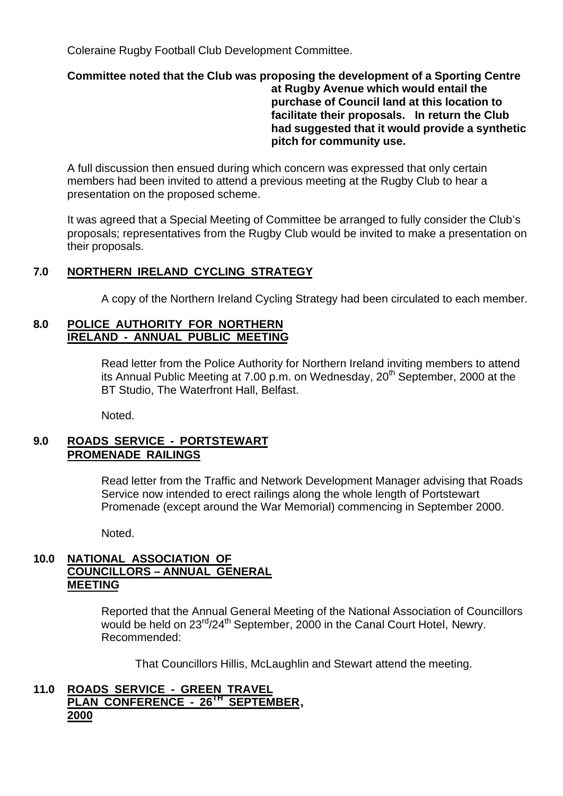Coleraine Rugby Football Club Development Committee.

## **Committee noted that the Club was proposing the development of a Sporting Centre at Rugby Avenue which would entail the purchase of Council land at this location to facilitate their proposals. In return the Club had suggested that it would provide a synthetic pitch for community use.**

A full discussion then ensued during which concern was expressed that only certain members had been invited to attend a previous meeting at the Rugby Club to hear a presentation on the proposed scheme.

It was agreed that a Special Meeting of Committee be arranged to fully consider the Club's proposals; representatives from the Rugby Club would be invited to make a presentation on their proposals.

# **7.0 NORTHERN IRELAND CYCLING STRATEGY**

A copy of the Northern Ireland Cycling Strategy had been circulated to each member.

## **8.0 POLICE AUTHORITY FOR NORTHERN IRELAND - ANNUAL PUBLIC MEETING**

Read letter from the Police Authority for Northern Ireland inviting members to attend its Annual Public Meeting at 7.00 p.m. on Wednesday,  $20<sup>th</sup>$  September, 2000 at the BT Studio, The Waterfront Hall, Belfast.

Noted.

# **9.0 ROADS SERVICE - PORTSTEWART PROMENADE RAILINGS**

Read letter from the Traffic and Network Development Manager advising that Roads Service now intended to erect railings along the whole length of Portstewart Promenade (except around the War Memorial) commencing in September 2000.

Noted.

# **10.0 NATIONAL ASSOCIATION OF COUNCILLORS – ANNUAL GENERAL MEETING**

Reported that the Annual General Meeting of the National Association of Councillors would be held on 23<sup>rd</sup>/24<sup>th</sup> September, 2000 in the Canal Court Hotel, Newry. Recommended:

That Councillors Hillis, McLaughlin and Stewart attend the meeting.

# **11.0 ROADS SERVICE - GREEN TRAVEL PLAN CONFERENCE - 26TH SEPTEMBER, 2000**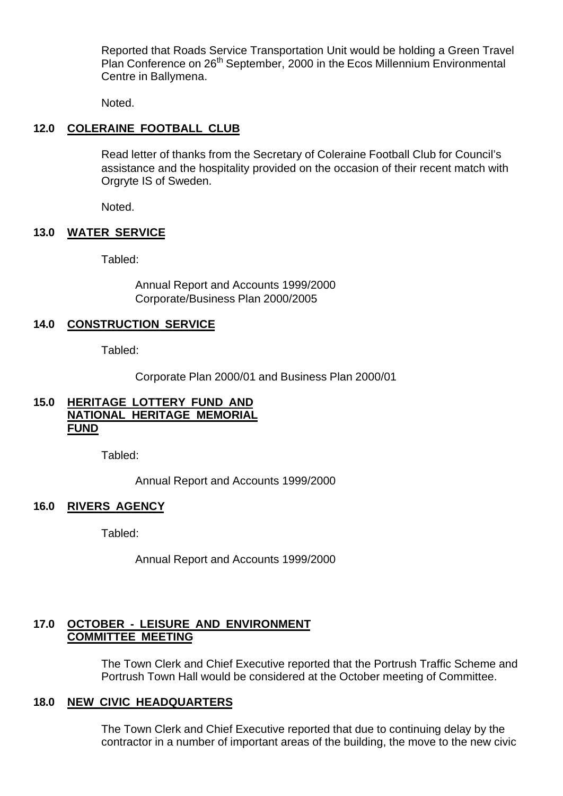Reported that Roads Service Transportation Unit would be holding a Green Travel Plan Conference on 26<sup>th</sup> September, 2000 in the Ecos Millennium Environmental Centre in Ballymena.

Noted.

# **12.0 COLERAINE FOOTBALL CLUB**

Read letter of thanks from the Secretary of Coleraine Football Club for Council's assistance and the hospitality provided on the occasion of their recent match with Orgryte IS of Sweden.

Noted.

## **13.0 WATER SERVICE**

Tabled:

Annual Report and Accounts 1999/2000 Corporate/Business Plan 2000/2005

## **14.0 CONSTRUCTION SERVICE**

Tabled:

Corporate Plan 2000/01 and Business Plan 2000/01

## **15.0 HERITAGE LOTTERY FUND AND NATIONAL HERITAGE MEMORIAL FUND**

Tabled:

Annual Report and Accounts 1999/2000

## **16.0 RIVERS AGENCY**

Tabled:

Annual Report and Accounts 1999/2000

# **17.0 OCTOBER - LEISURE AND ENVIRONMENT COMMITTEE MEETING**

The Town Clerk and Chief Executive reported that the Portrush Traffic Scheme and Portrush Town Hall would be considered at the October meeting of Committee.

# **18.0 NEW CIVIC HEADQUARTERS**

The Town Clerk and Chief Executive reported that due to continuing delay by the contractor in a number of important areas of the building, the move to the new civic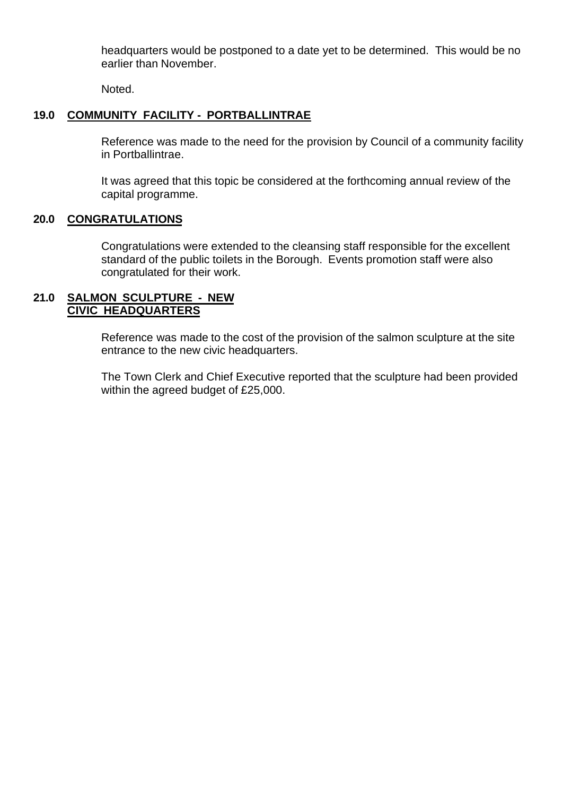headquarters would be postponed to a date yet to be determined. This would be no earlier than November.

Noted.

# **19.0 COMMUNITY FACILITY - PORTBALLINTRAE**

Reference was made to the need for the provision by Council of a community facility in Portballintrae.

It was agreed that this topic be considered at the forthcoming annual review of the capital programme.

## **20.0 CONGRATULATIONS**

Congratulations were extended to the cleansing staff responsible for the excellent standard of the public toilets in the Borough. Events promotion staff were also congratulated for their work.

## **21.0 SALMON SCULPTURE - NEW CIVIC HEADQUARTERS**

Reference was made to the cost of the provision of the salmon sculpture at the site entrance to the new civic headquarters.

The Town Clerk and Chief Executive reported that the sculpture had been provided within the agreed budget of £25,000.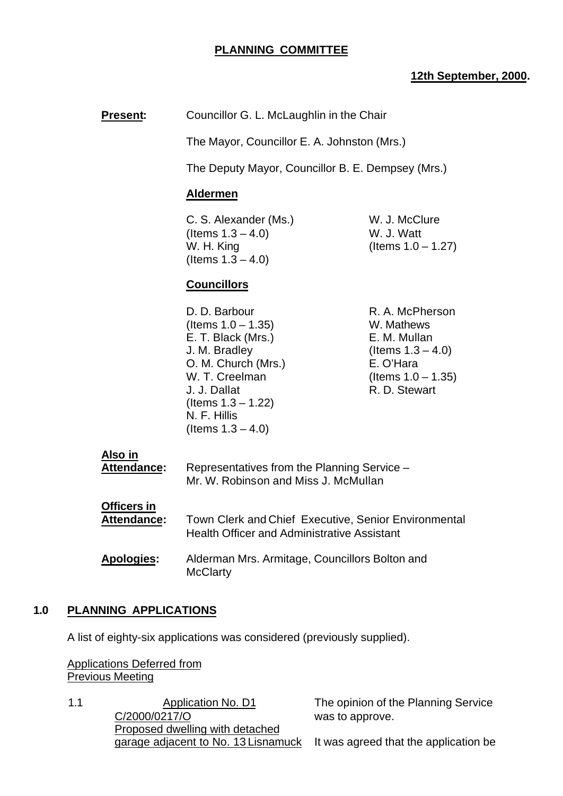## **PLANNING COMMITTEE**

## **12th September, 2000.**

**Present:** Councillor G. L. McLaughlin in the Chair

The Mayor, Councillor E. A. Johnston (Mrs.)

The Deputy Mayor, Councillor B. E. Dempsey (Mrs.)

## **Aldermen**

C. S. Alexander (Ms.) W. J. McClure  $($  Items  $1.3 - 4.0)$  W. J. Watt W. H. King  $($ Items  $1.0 - 1.27)$ (Items  $1.3 - 4.0$ )

# **Councillors**

D. D. Barbour R. A. McPherson  $($ ltems  $1.0 - 1.35)$  W. Mathews E. T. Black (Mrs.) E. M. Mullan  $J. M. Bradley$  (Items  $1.3 - 4.0$ ) O. M. Church (Mrs.) E. O'Hara W. T. Creelman (Items 1.0 – 1.35) J. J. Dallat R. D. Stewart (Items 1.3 – 1.22) N. F. Hillis (Items  $1.3 - 4.0$ )

**Also in**

| Attendance:        | Representatives from the Planning Service -<br>Mr. W. Robinson and Miss J. McMullan                               |
|--------------------|-------------------------------------------------------------------------------------------------------------------|
| Officers in        |                                                                                                                   |
| <b>Attendance:</b> | <b>Town Clerk and Chief Executive, Senior Environmental</b><br><b>Health Officer and Administrative Assistant</b> |
| <b>Apologies:</b>  | Alderman Mrs. Armitage, Councillors Bolton and<br><b>McClarty</b>                                                 |

## **1.0 PLANNING APPLICATIONS**

A list of eighty-six applications was considered (previously supplied).

Applications Deferred from Previous Meeting

1.1 Application No. D1 C/2000/0217/O Proposed dwelling with detached garage adjacent to No. 13 Lisnamuck

The opinion of the Planning Service was to approve.

It was agreed that the application be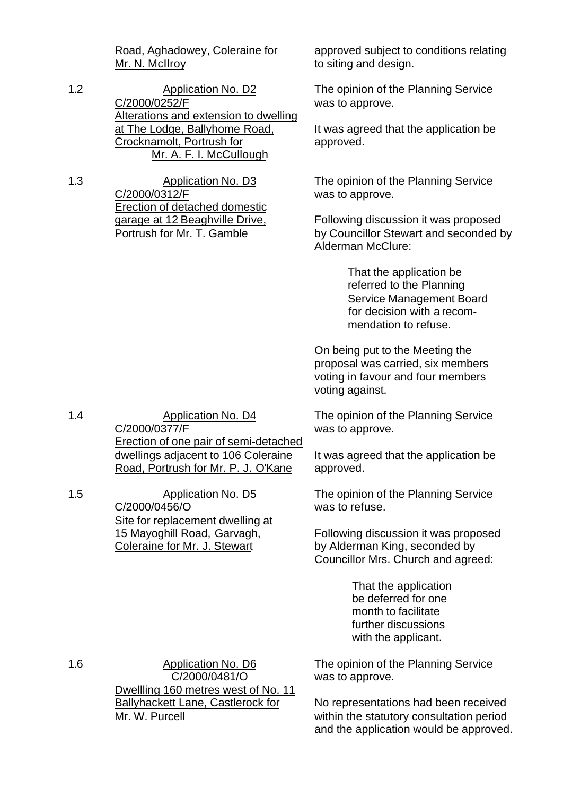Road, Aghadowey, Coleraine for Mr. N. McIlroy

1.2 Application No. D2 C/2000/0252/F Alterations and extension to dwelling at The Lodge, Ballyhome Road, Crocknamolt, Portrush for Mr. A. F. I. McCullough

1.3 Application No. D3 C/2000/0312/F Erection of detached domestic garage at 12 Beaghville Drive, Portrush for Mr. T. Gamble

approved subject to conditions relating to siting and design.

The opinion of the Planning Service was to approve.

It was agreed that the application be approved.

The opinion of the Planning Service was to approve.

Following discussion it was proposed by Councillor Stewart and seconded by Alderman McClure:

> That the application be referred to the Planning Service Management Board for decision with a recommendation to refuse.

On being put to the Meeting the proposal was carried, six members voting in favour and four members voting against.

The opinion of the Planning Service was to approve.

It was agreed that the application be approved.

The opinion of the Planning Service was to refuse.

Following discussion it was proposed by Alderman King, seconded by Councillor Mrs. Church and agreed:

> That the application be deferred for one month to facilitate further discussions with the applicant.

The opinion of the Planning Service was to approve.

No representations had been received within the statutory consultation period and the application would be approved.

1.4 Application No. D4 C/2000/0377/F Erection of one pair of semi-detached dwellings adjacent to 106 Coleraine Road, Portrush for Mr. P. J. O'Kane

1.5 Application No. D5 C/2000/0456/O Site for replacement dwelling at 15 Mayoghill Road, Garvagh, Coleraine for Mr. J. Stewart

1.6 Application No. D6 C/2000/0481/O Dwellling 160 metres west of No. 11 Ballyhackett Lane, Castlerock for Mr. W. Purcell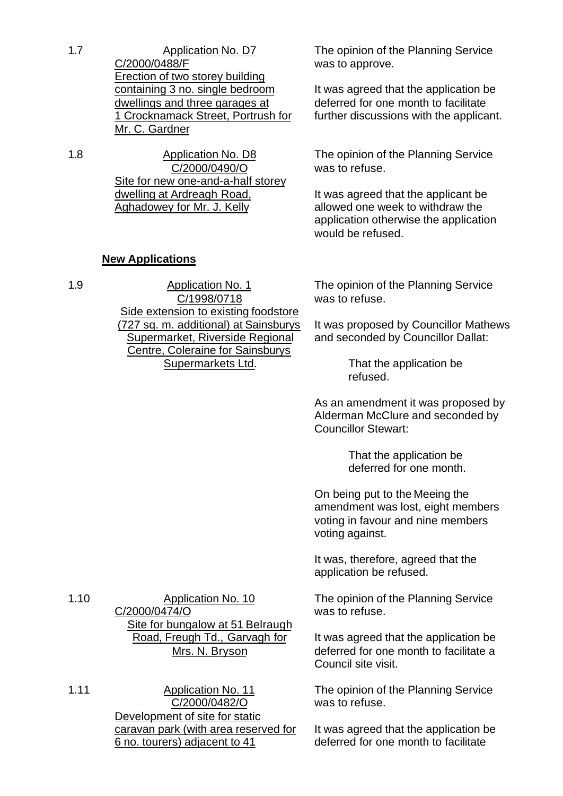1.7 Application No. D7 C/2000/0488/F Erection of two storey building containing 3 no. single bedroom dwellings and three garages at 1 Crocknamack Street, Portrush for Mr. C. Gardner

1.8 Application No. D8 C/2000/0490/O Site for new one-and-a-half storey dwelling at Ardreagh Road, Aghadowey for Mr. J. Kelly

> C/1998/0718 Side extension to existing foodstore (727 sq. m. additional) at Sainsburys Supermarket, Riverside Regional Centre, Coleraine for Sainsburys Supermarkets Ltd.

# **New Applications**

1.9 Application No. 1

The opinion of the Planning Service was to approve.

It was agreed that the application be deferred for one month to facilitate further discussions with the applicant.

The opinion of the Planning Service was to refuse.

It was agreed that the applicant be allowed one week to withdraw the application otherwise the application would be refused.

The opinion of the Planning Service was to refuse.

It was proposed by Councillor Mathews and seconded by Councillor Dallat:

> That the application be refused.

As an amendment it was proposed by Alderman McClure and seconded by Councillor Stewart:

> That the application be deferred for one month.

On being put to the Meeing the amendment was lost, eight members voting in favour and nine members voting against.

It was, therefore, agreed that the application be refused.

The opinion of the Planning Service was to refuse.

It was agreed that the application be deferred for one month to facilitate a Council site visit.

The opinion of the Planning Service was to refuse.

It was agreed that the application be deferred for one month to facilitate

1.10 Application No. 10 C/2000/0474/O Site for bungalow at 51 Belraugh Road, Freugh Td., Garvagh for Mrs. N. Bryson

1.11 Application No. 11 C/2000/0482/O Development of site for static caravan park (with area reserved for 6 no. tourers) adjacent to 41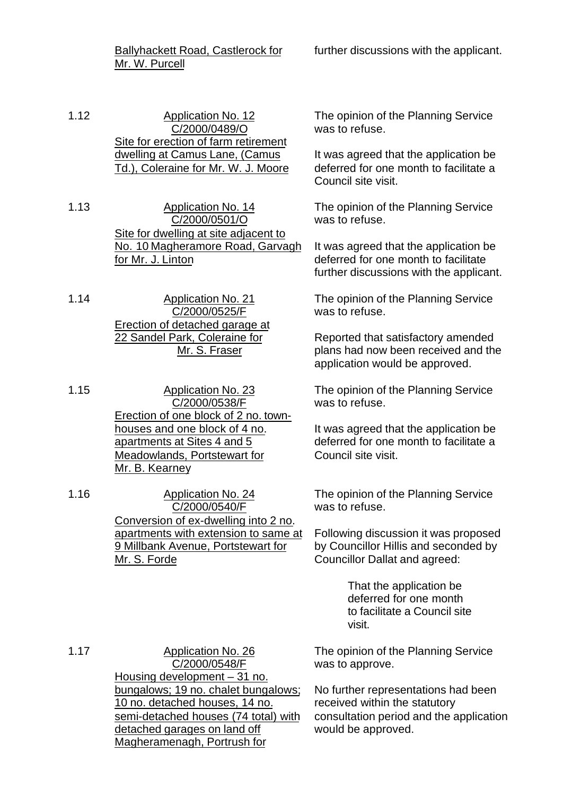Ballyhackett Road, Castlerock for Mr. W. Purcell

1.12 Application No. 12 C/2000/0489/O Site for erection of farm retirement dwelling at Camus Lane, (Camus Td.), Coleraine for Mr. W. J. Moore

1.13 Application No. 14 C/2000/0501/O Site for dwelling at site adjacent to No. 10 Magheramore Road, Garvagh for Mr. J. Linton

1.14 Application No. 21 C/2000/0525/F Erection of detached garage at 22 Sandel Park, Coleraine for Mr. S. Fraser

1.15 Application No. 23 C/2000/0538/F Erection of one block of 2 no. townhouses and one block of 4 no. apartments at Sites 4 and 5 Meadowlands, Portstewart for Mr. B. Kearney

1.16 Application No. 24 C/2000/0540/F Conversion of ex-dwelling into 2 no. apartments with extension to same at 9 Millbank Avenue, Portstewart for Mr. S. Forde

The opinion of the Planning Service was to refuse.

It was agreed that the application be deferred for one month to facilitate a Council site visit.

The opinion of the Planning Service was to refuse.

It was agreed that the application be deferred for one month to facilitate further discussions with the applicant.

The opinion of the Planning Service was to refuse.

Reported that satisfactory amended plans had now been received and the application would be approved.

The opinion of the Planning Service was to refuse.

It was agreed that the application be deferred for one month to facilitate a Council site visit.

The opinion of the Planning Service was to refuse.

Following discussion it was proposed by Councillor Hillis and seconded by Councillor Dallat and agreed:

> That the application be deferred for one month to facilitate a Council site visit.

The opinion of the Planning Service was to approve.

No further representations had been received within the statutory consultation period and the application would be approved.

1.17 Application No. 26 C/2000/0548/F Housing development  $-\overline{31}$  no. bungalows; 19 no. chalet bungalows; 10 no. detached houses, 14 no. semi-detached houses (74 total) with detached garages on land off Magheramenagh, Portrush for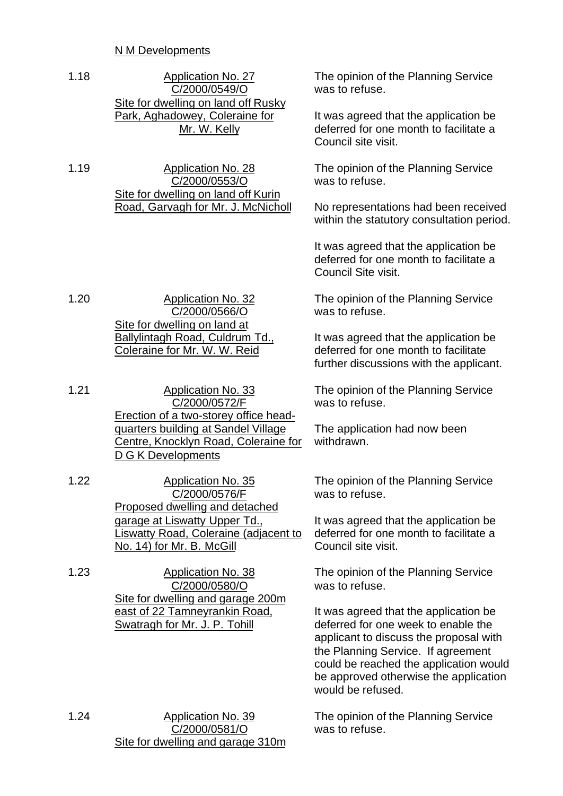# N M Developments

| 1.18<br>Application No. 27<br>C/2000/0549/O<br>Site for dwelling on land off Rusky<br>Park, Aghadowey, Coleraine for<br>Mr. W. Kelly |                                                                                                                                       | The opinion of the Planning Service<br>was to refuse.                                                                                                                                                                                                                |
|--------------------------------------------------------------------------------------------------------------------------------------|---------------------------------------------------------------------------------------------------------------------------------------|----------------------------------------------------------------------------------------------------------------------------------------------------------------------------------------------------------------------------------------------------------------------|
|                                                                                                                                      |                                                                                                                                       | It was agreed that the application be<br>deferred for one month to facilitate a<br>Council site visit.                                                                                                                                                               |
| 1.19                                                                                                                                 | <b>Application No. 28</b><br>C/2000/0553/O                                                                                            | The opinion of the Planning Service<br>was to refuse.                                                                                                                                                                                                                |
|                                                                                                                                      | Site for dwelling on land off Kurin<br>Road, Garvagh for Mr. J. McNicholl                                                             | No representations had been received<br>within the statutory consultation period.                                                                                                                                                                                    |
|                                                                                                                                      |                                                                                                                                       | It was agreed that the application be<br>deferred for one month to facilitate a<br>Council Site visit.                                                                                                                                                               |
| 1.20                                                                                                                                 | <b>Application No. 32</b><br>C/2000/0566/O                                                                                            | The opinion of the Planning Service<br>was to refuse.                                                                                                                                                                                                                |
|                                                                                                                                      | Site for dwelling on land at<br>Ballylintagh Road, Culdrum Td.,<br>Coleraine for Mr. W. W. Reid                                       | It was agreed that the application be<br>deferred for one month to facilitate<br>further discussions with the applicant.                                                                                                                                             |
| 1.21                                                                                                                                 | <b>Application No. 33</b><br>C/2000/0572/F                                                                                            | The opinion of the Planning Service<br>was to refuse.                                                                                                                                                                                                                |
| <b>D G K Developments</b>                                                                                                            | Erection of a two-storey office head-<br>quarters building at Sandel Village<br>Centre, Knocklyn Road, Coleraine for                  | The application had now been<br>withdrawn.                                                                                                                                                                                                                           |
| 1.22                                                                                                                                 | <b>Application No. 35</b><br>C/2000/0576/F                                                                                            | The opinion of the Planning Service<br>was to refuse.                                                                                                                                                                                                                |
|                                                                                                                                      | Proposed dwelling and detached<br>garage at Liswatty Upper Td.,<br>Liswatty Road, Coleraine (adjacent to<br>No. 14) for Mr. B. McGill | It was agreed that the application be<br>deferred for one month to facilitate a<br>Council site visit.                                                                                                                                                               |
| 1.23                                                                                                                                 | <b>Application No. 38</b><br>C/2000/0580/O                                                                                            | The opinion of the Planning Service<br>was to refuse.                                                                                                                                                                                                                |
|                                                                                                                                      | Site for dwelling and garage 200m<br>east of 22 Tamneyrankin Road,<br>Swatragh for Mr. J. P. Tohill                                   | It was agreed that the application be<br>deferred for one week to enable the<br>applicant to discuss the proposal with<br>the Planning Service. If agreement<br>could be reached the application would<br>be approved otherwise the application<br>would be refused. |
| 1.24                                                                                                                                 | <b>Application No. 39</b><br>C/2000/0581/O<br>Site for dwelling and garage 310m                                                       | The opinion of the Planning Service<br>was to refuse.                                                                                                                                                                                                                |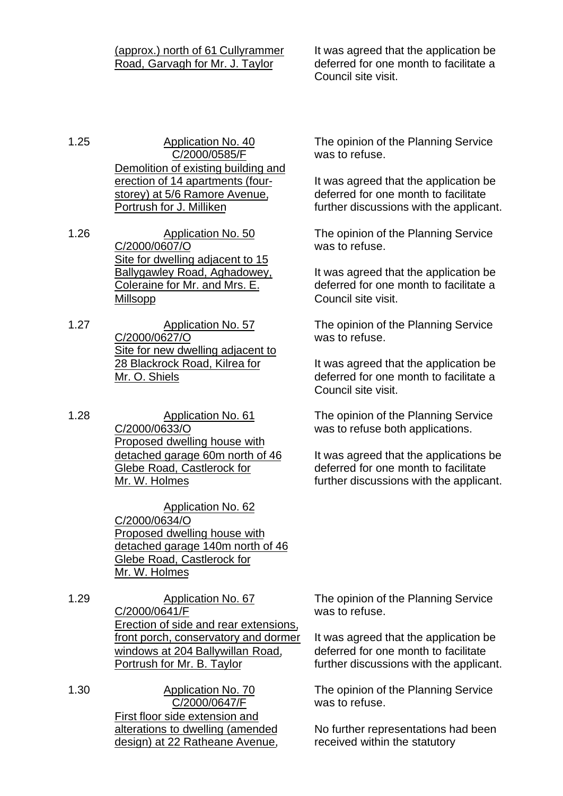## (approx.) north of 61 Cullyrammer Road, Garvagh for Mr. J. Taylor

1.25 Application No. 40 C/2000/0585/F Demolition of existing building and erection of 14 apartments (fourstorey) at 5/6 Ramore Avenue, Portrush for J. Milliken

- 1.26 Application No. 50 C/2000/0607/O Site for dwelling adjacent to 15 Ballygawley Road, Aghadowey, Coleraine for Mr. and Mrs. E. Millsopp
- 1.27 Application No. 57 C/2000/0627/O Site for new dwelling adjacent to 28 Blackrock Road, Kilrea for Mr. O. Shiels
- 1.28 Application No. 61 C/2000/0633/O Proposed dwelling house with detached garage 60m north of 46 Glebe Road, Castlerock for Mr. W. Holmes

Application No. 62 C/2000/0634/O Proposed dwelling house with detached garage 140m north of 46 Glebe Road, Castlerock for Mr. W. Holmes

1.29 Application No. 67 C/2000/0641/F Erection of side and rear extensions, front porch, conservatory and dormer windows at 204 Ballywillan Road, Portrush for Mr. B. Taylor

1.30 Application No. 70 C/2000/0647/F First floor side extension and alterations to dwelling (amended design) at 22 Ratheane Avenue, It was agreed that the application be deferred for one month to facilitate a Council site visit.

The opinion of the Planning Service was to refuse.

It was agreed that the application be deferred for one month to facilitate further discussions with the applicant.

The opinion of the Planning Service was to refuse.

It was agreed that the application be deferred for one month to facilitate a Council site visit.

The opinion of the Planning Service was to refuse.

It was agreed that the application be deferred for one month to facilitate a Council site visit.

The opinion of the Planning Service was to refuse both applications.

It was agreed that the applications be deferred for one month to facilitate further discussions with the applicant.

The opinion of the Planning Service was to refuse.

It was agreed that the application be deferred for one month to facilitate further discussions with the applicant.

The opinion of the Planning Service was to refuse.

No further representations had been received within the statutory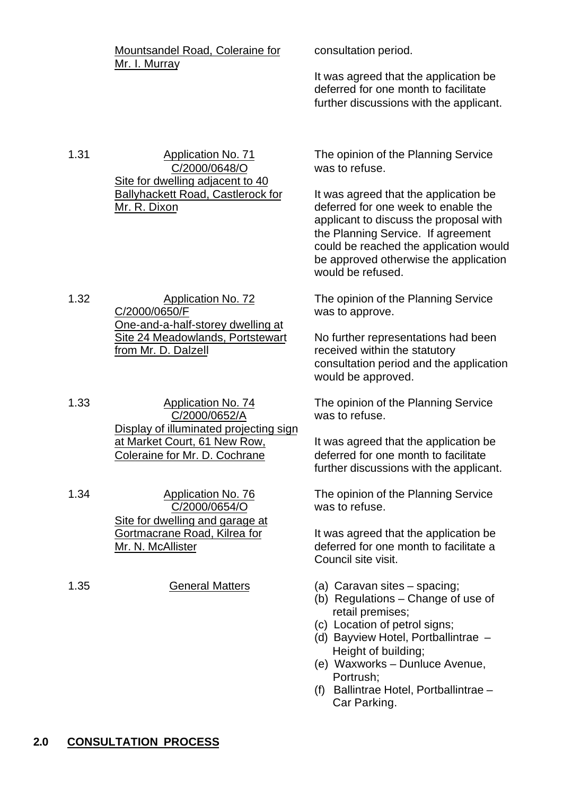|      | <b>Mountsandel Road, Coleraine for</b><br>Mr. I. Murray                                                                                               | consultation period.<br>It was agreed that the application be<br>deferred for one month to facilitate<br>further discussions with the applicant.                                                                                     |
|------|-------------------------------------------------------------------------------------------------------------------------------------------------------|--------------------------------------------------------------------------------------------------------------------------------------------------------------------------------------------------------------------------------------|
| 1.31 | <b>Application No. 71</b><br>C/2000/0648/O<br>Site for dwelling adjacent to 40<br><b>Ballyhackett Road, Castlerock for</b><br>Mr. R. Dixon            | The opinion of the Planning Service<br>was to refuse.<br>It was agreed that the application be<br>deferred for one week to enable the<br>applicant to discuss the proposal with                                                      |
|      |                                                                                                                                                       | the Planning Service. If agreement<br>could be reached the application would<br>be approved otherwise the application<br>would be refused.                                                                                           |
| 1.32 | <b>Application No. 72</b><br>C/2000/0650/F                                                                                                            | The opinion of the Planning Service<br>was to approve.                                                                                                                                                                               |
|      | One-and-a-half-storey dwelling at<br>Site 24 Meadowlands, Portstewart<br>from Mr. D. Dalzell                                                          | No further representations had been<br>received within the statutory<br>consultation period and the application<br>would be approved.                                                                                                |
| 1.33 | <b>Application No. 74</b><br>C/2000/0652/A<br>Display of illuminated projecting sign<br>at Market Court, 61 New Row,<br>Coleraine for Mr. D. Cochrane | The opinion of the Planning Service<br>was to refuse.                                                                                                                                                                                |
|      |                                                                                                                                                       | It was agreed that the application be<br>deferred for one month to facilitate<br>further discussions with the applicant.                                                                                                             |
| 1.34 | <b>Application No. 76</b><br>C/2000/0654/O<br>Site for dwelling and garage at                                                                         | The opinion of the Planning Service<br>was to refuse.                                                                                                                                                                                |
|      | Gortmacrane Road, Kilrea for<br>Mr. N. McAllister                                                                                                     | It was agreed that the application be<br>deferred for one month to facilitate a<br>Council site visit.                                                                                                                               |
| 1.35 | <b>General Matters</b>                                                                                                                                | (a) Caravan sites - spacing;<br>(b) Regulations - Change of use of<br>retail premises;<br>(c) Location of petrol signs;<br>(d) Bayview Hotel, Portballintrae -<br>Height of building;<br>(e) Waxworks - Dunluce Avenue,<br>Portrush; |

(f) Ballintrae Hotel, Portballintrae – Car Parking.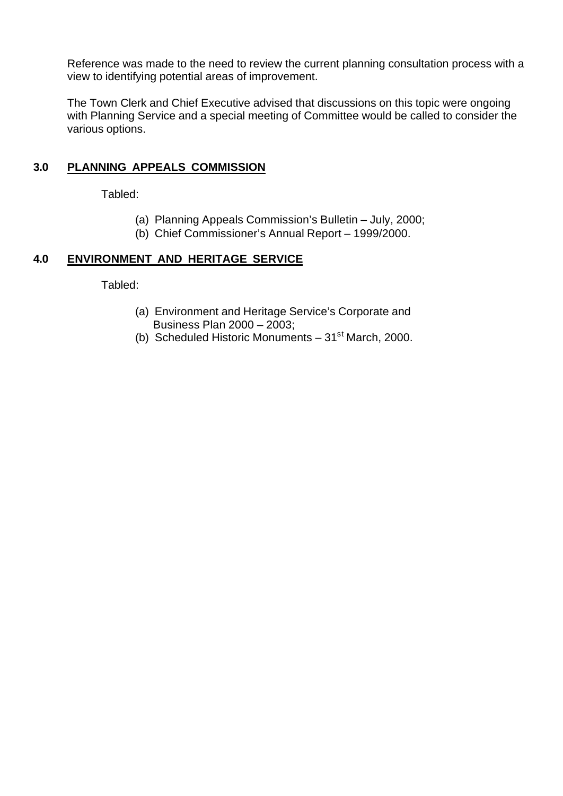Reference was made to the need to review the current planning consultation process with a view to identifying potential areas of improvement.

The Town Clerk and Chief Executive advised that discussions on this topic were ongoing with Planning Service and a special meeting of Committee would be called to consider the various options.

# **3.0 PLANNING APPEALS COMMISSION**

Tabled:

- (a) Planning Appeals Commission's Bulletin July, 2000;
- (b) Chief Commissioner's Annual Report 1999/2000.

# **4.0 ENVIRONMENT AND HERITAGE SERVICE**

Tabled:

- (a) Environment and Heritage Service's Corporate and Business Plan 2000 – 2003;
- (b) Scheduled Historic Monuments  $-31<sup>st</sup>$  March, 2000.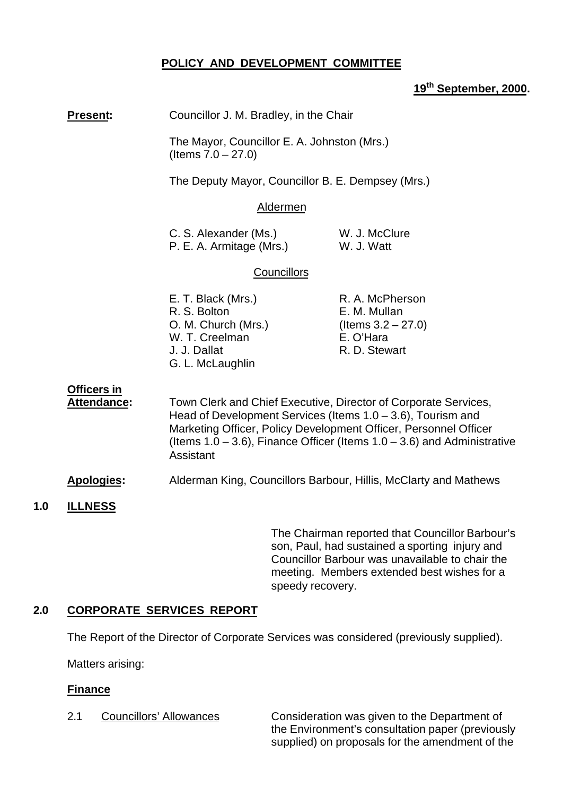# **POLICY AND DEVELOPMENT COMMITTEE**

# **19th September, 2000.**

|     | <b>Present:</b>                   | Councillor J. M. Bradley, in the Chair<br>The Mayor, Councillor E. A. Johnston (Mrs.)<br>(Items $7.0 - 27.0$ )                                                                                                                                                                                      |                                                                                                   |
|-----|-----------------------------------|-----------------------------------------------------------------------------------------------------------------------------------------------------------------------------------------------------------------------------------------------------------------------------------------------------|---------------------------------------------------------------------------------------------------|
|     |                                   |                                                                                                                                                                                                                                                                                                     |                                                                                                   |
|     |                                   | The Deputy Mayor, Councillor B. E. Dempsey (Mrs.)                                                                                                                                                                                                                                                   |                                                                                                   |
|     |                                   | Aldermen                                                                                                                                                                                                                                                                                            |                                                                                                   |
|     |                                   | C. S. Alexander (Ms.)<br>P. E. A. Armitage (Mrs.)                                                                                                                                                                                                                                                   | W. J. McClure<br>W. J. Watt                                                                       |
|     |                                   | Councillors                                                                                                                                                                                                                                                                                         |                                                                                                   |
|     |                                   | E. T. Black (Mrs.)<br>R. S. Bolton<br>O. M. Church (Mrs.)<br>W. T. Creelman<br>J. J. Dallat<br>G. L. McLaughlin                                                                                                                                                                                     | R. A. McPherson<br>E. M. Mullan<br>(Items $3.2 - 27.0$ )<br>E. O'Hara<br>R. D. Stewart            |
|     | <b>Officers in</b><br>Attendance: | Town Clerk and Chief Executive, Director of Corporate Services,<br>Head of Development Services (Items $1.0 - 3.6$ ), Tourism and<br>Marketing Officer, Policy Development Officer, Personnel Officer<br>(Items $1.0 - 3.6$ ), Finance Officer (Items $1.0 - 3.6$ ) and Administrative<br>Assistant |                                                                                                   |
|     | Apologies:                        |                                                                                                                                                                                                                                                                                                     | Alderman King, Councillors Barbour, Hillis, McClarty and Mathews                                  |
| 1.0 | <b>ILLNESS</b>                    |                                                                                                                                                                                                                                                                                                     |                                                                                                   |
|     |                                   |                                                                                                                                                                                                                                                                                                     | The Chairman reported that Councillor Barbour's<br>son. Paul, had sustained a sporting injury and |

son, Paul, had sustained a sporting injury and Councillor Barbour was unavailable to chair the meeting. Members extended best wishes for a speedy recovery.

# **2.0 CORPORATE SERVICES REPORT**

The Report of the Director of Corporate Services was considered (previously supplied).

Matters arising:

## **Finance**

2.1 Councillors' Allowances Consideration was given to the Department of the Environment's consultation paper (previously supplied) on proposals for the amendment of the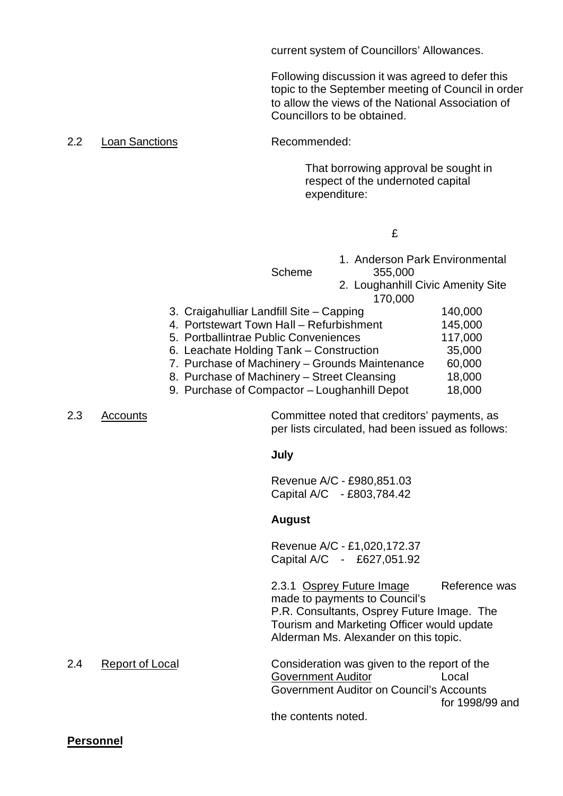current system of Councillors' Allowances.

Following discussion it was agreed to defer this topic to the September meeting of Council in order to allow the views of the National Association of Councillors to be obtained.

2.2 Loan Sanctions Recommended:

That borrowing approval be sought in respect of the undernoted capital expenditure:

£

| <b>Scheme</b>                                  | 1. Anderson Park Environmental<br>355,000<br>2. Loughanhill Civic Amenity Site<br>170,000 |         |
|------------------------------------------------|-------------------------------------------------------------------------------------------|---------|
| 3. Craigahulliar Landfill Site - Capping       |                                                                                           | 140,000 |
| 4. Portstewart Town Hall - Refurbishment       |                                                                                           | 145,000 |
| 5. Portballintrae Public Conveniences          |                                                                                           | 117,000 |
| 6. Leachate Holding Tank - Construction        |                                                                                           | 35,000  |
| 7. Purchase of Machinery - Grounds Maintenance |                                                                                           | 60,000  |
| 8. Purchase of Machinery - Street Cleansing    |                                                                                           | 18,000  |
| 9. Purchase of Compactor - Loughanhill Depot   |                                                                                           | 18,000  |

2.3 Accounts Committee noted that creditors' payments, as per lists circulated, had been issued as follows:

**July**

Revenue A/C - £980,851.03 Capital A/C - £803,784.42

#### **August**

Revenue A/C - £1,020,172.37 Capital A/C - £627,051.92

2.3.1 Osprey Future Image Reference was made to payments to Council's P.R. Consultants, Osprey Future Image. The Tourism and Marketing Officer would update Alderman Ms. Alexander on this topic.

2.4 Report of Local Consideration was given to the report of the Government Auditor **Local** Government Auditor on Council's Accounts for 1998/99 and the contents noted.

**Personnel**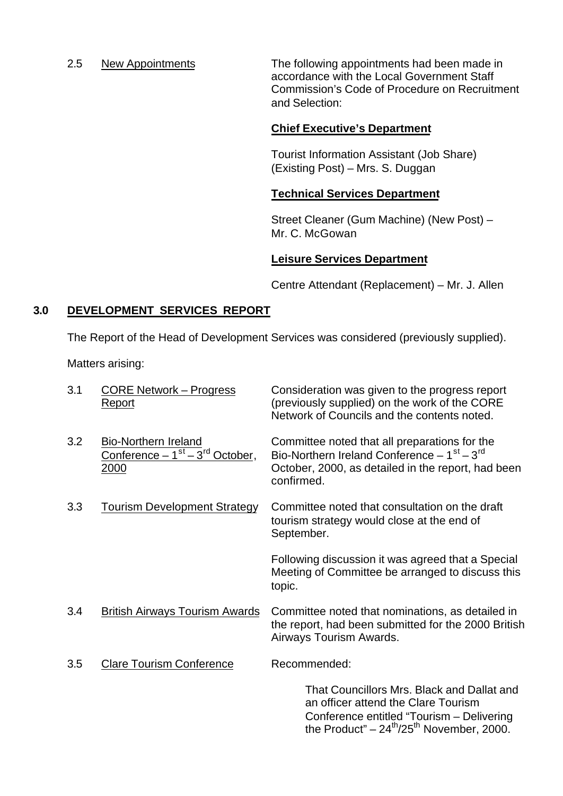2.5 New Appointments The following appointments had been made in accordance with the Local Government Staff Commission's Code of Procedure on Recruitment and Selection:

# **Chief Executive's Department**

Tourist Information Assistant (Job Share) (Existing Post) – Mrs. S. Duggan

## **Technical Services Department**

Street Cleaner (Gum Machine) (New Post) – Mr. C. McGowan

# **Leisure Services Department**

Centre Attendant (Replacement) – Mr. J. Allen

# **3.0 DEVELOPMENT SERVICES REPORT**

The Report of the Head of Development Services was considered (previously supplied).

Matters arising:

| 3.1 | <b>CORE Network – Progress</b><br><b>Report</b>                                                        | Consideration was given to the progress report<br>(previously supplied) on the work of the CORE<br>Network of Councils and the contents noted.                                                      |
|-----|--------------------------------------------------------------------------------------------------------|-----------------------------------------------------------------------------------------------------------------------------------------------------------------------------------------------------|
| 3.2 | <b>Bio-Northern Ireland</b><br>Conference - 1 <sup>st</sup> - 3 <sup>rd</sup> October,<br><u> 2000</u> | Committee noted that all preparations for the<br>Bio-Northern Ireland Conference $-1st - 3rd$<br>October, 2000, as detailed in the report, had been<br>confirmed.                                   |
| 3.3 | <b>Tourism Development Strategy</b>                                                                    | Committee noted that consultation on the draft<br>tourism strategy would close at the end of<br>September.                                                                                          |
|     |                                                                                                        | Following discussion it was agreed that a Special<br>Meeting of Committee be arranged to discuss this<br>topic.                                                                                     |
| 3.4 | <b>British Airways Tourism Awards</b>                                                                  | Committee noted that nominations, as detailed in<br>the report, had been submitted for the 2000 British<br>Airways Tourism Awards.                                                                  |
| 3.5 | <b>Clare Tourism Conference</b>                                                                        | Recommended:                                                                                                                                                                                        |
|     |                                                                                                        | That Councillors Mrs. Black and Dallat and<br>an officer attend the Clare Tourism<br>Conference entitled "Tourism - Delivering<br>the Product" – $24^{\text{th}}$ /25 <sup>th</sup> November, 2000. |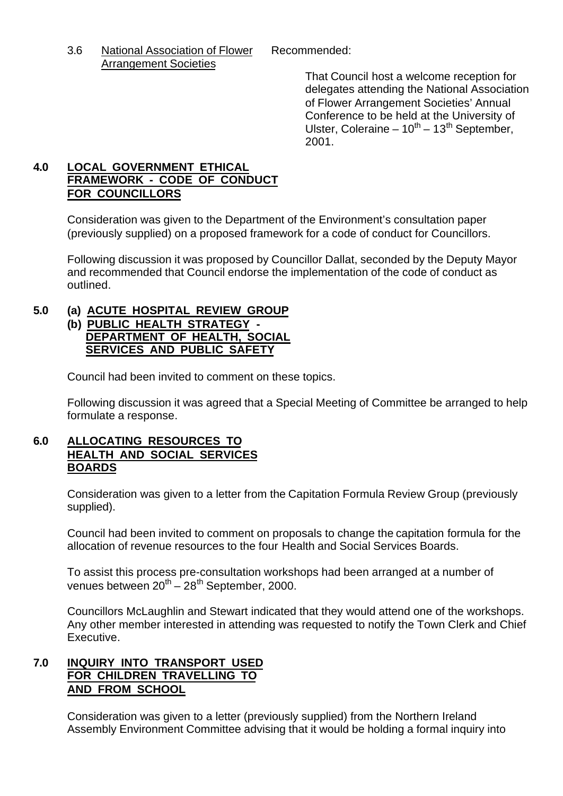3.6 National Association of Flower Recommended: Arrangement Societies

That Council host a welcome reception for delegates attending the National Association of Flower Arrangement Societies' Annual Conference to be held at the University of Ulster, Coleraine –  $10^{th}$  –  $13^{th}$  September, 2001.

# **4.0 LOCAL GOVERNMENT ETHICAL FRAMEWORK - CODE OF CONDUCT FOR COUNCILLORS**

Consideration was given to the Department of the Environment's consultation paper (previously supplied) on a proposed framework for a code of conduct for Councillors.

Following discussion it was proposed by Councillor Dallat, seconded by the Deputy Mayor and recommended that Council endorse the implementation of the code of conduct as outlined.

# **5.0 (a) ACUTE HOSPITAL REVIEW GROUP**

## **(b) PUBLIC HEALTH STRATEGY - DEPARTMENT OF HEALTH, SOCIAL SERVICES AND PUBLIC SAFETY**

Council had been invited to comment on these topics.

Following discussion it was agreed that a Special Meeting of Committee be arranged to help formulate a response.

# **6.0 ALLOCATING RESOURCES TO HEALTH AND SOCIAL SERVICES BOARDS**

Consideration was given to a letter from the Capitation Formula Review Group (previously supplied).

Council had been invited to comment on proposals to change the capitation formula for the allocation of revenue resources to the four Health and Social Services Boards.

To assist this process pre-consultation workshops had been arranged at a number of venues between  $20^{th} - 28^{th}$  September, 2000.

Councillors McLaughlin and Stewart indicated that they would attend one of the workshops. Any other member interested in attending was requested to notify the Town Clerk and Chief Executive.

# **7.0 INQUIRY INTO TRANSPORT USED FOR CHILDREN TRAVELLING TO AND FROM SCHOOL**

Consideration was given to a letter (previously supplied) from the Northern Ireland Assembly Environment Committee advising that it would be holding a formal inquiry into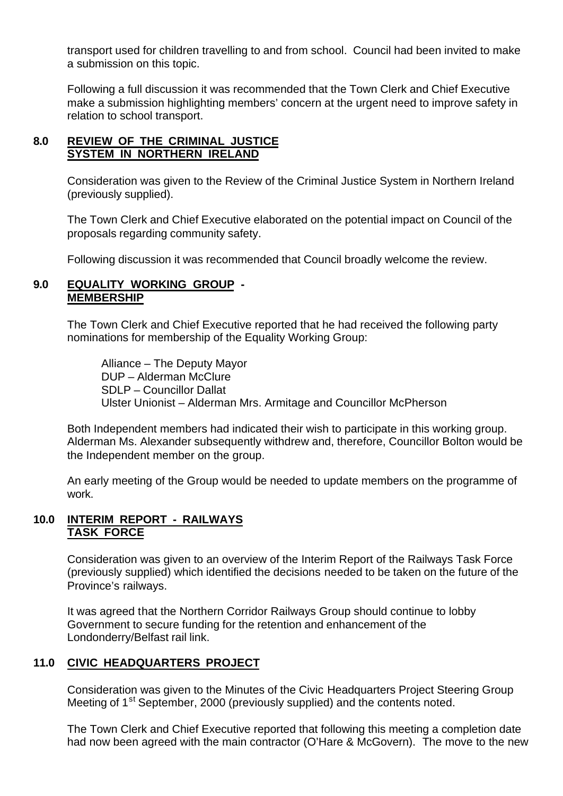transport used for children travelling to and from school. Council had been invited to make a submission on this topic.

Following a full discussion it was recommended that the Town Clerk and Chief Executive make a submission highlighting members' concern at the urgent need to improve safety in relation to school transport.

# **8.0 REVIEW OF THE CRIMINAL JUSTICE SYSTEM IN NORTHERN IRELAND**

Consideration was given to the Review of the Criminal Justice System in Northern Ireland (previously supplied).

The Town Clerk and Chief Executive elaborated on the potential impact on Council of the proposals regarding community safety.

Following discussion it was recommended that Council broadly welcome the review.

## **9.0 EQUALITY WORKING GROUP - MEMBERSHIP**

The Town Clerk and Chief Executive reported that he had received the following party nominations for membership of the Equality Working Group:

Alliance – The Deputy Mayor DUP – Alderman McClure SDLP – Councillor Dallat Ulster Unionist – Alderman Mrs. Armitage and Councillor McPherson

Both Independent members had indicated their wish to participate in this working group. Alderman Ms. Alexander subsequently withdrew and, therefore, Councillor Bolton would be the Independent member on the group.

An early meeting of the Group would be needed to update members on the programme of work.

# **10.0 INTERIM REPORT - RAILWAYS TASK FORCE**

Consideration was given to an overview of the Interim Report of the Railways Task Force (previously supplied) which identified the decisions needed to be taken on the future of the Province's railways.

It was agreed that the Northern Corridor Railways Group should continue to lobby Government to secure funding for the retention and enhancement of the Londonderry/Belfast rail link.

# **11.0 CIVIC HEADQUARTERS PROJECT**

Consideration was given to the Minutes of the Civic Headquarters Project Steering Group Meeting of 1<sup>st</sup> September, 2000 (previously supplied) and the contents noted.

The Town Clerk and Chief Executive reported that following this meeting a completion date had now been agreed with the main contractor (O'Hare & McGovern). The move to the new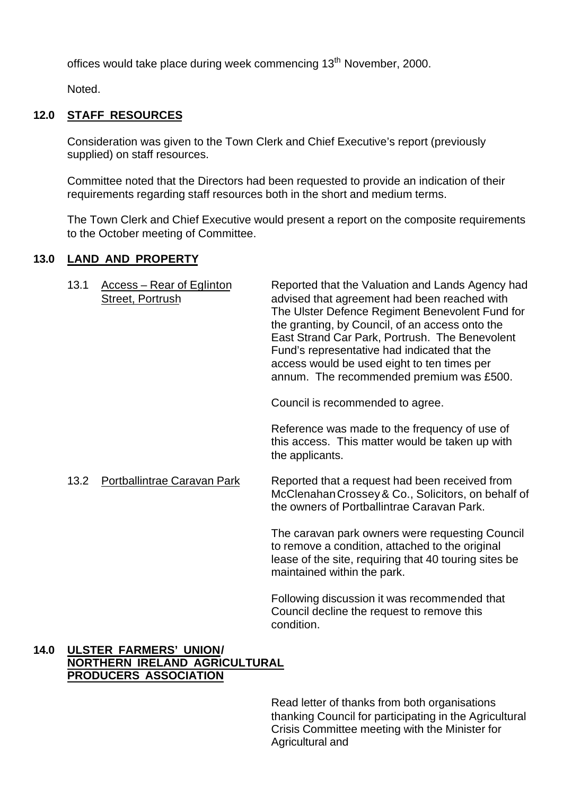offices would take place during week commencing 13<sup>th</sup> November, 2000.

Noted.

## **12.0 STAFF RESOURCES**

Consideration was given to the Town Clerk and Chief Executive's report (previously supplied) on staff resources.

Committee noted that the Directors had been requested to provide an indication of their requirements regarding staff resources both in the short and medium terms.

The Town Clerk and Chief Executive would present a report on the composite requirements to the October meeting of Committee.

## **13.0 LAND AND PROPERTY**

| 13.1        | Access - Rear of Eglinton<br><b>Street, Portrush</b> | Reported that the Valuation and Lands Agency had<br>advised that agreement had been reached with<br>The Ulster Defence Regiment Benevolent Fund for<br>the granting, by Council, of an access onto the<br>East Strand Car Park, Portrush. The Benevolent<br>Fund's representative had indicated that the<br>access would be used eight to ten times per<br>annum. The recommended premium was £500. |
|-------------|------------------------------------------------------|-----------------------------------------------------------------------------------------------------------------------------------------------------------------------------------------------------------------------------------------------------------------------------------------------------------------------------------------------------------------------------------------------------|
|             |                                                      | Council is recommended to agree.                                                                                                                                                                                                                                                                                                                                                                    |
|             |                                                      | Reference was made to the frequency of use of<br>this access. This matter would be taken up with<br>the applicants.                                                                                                                                                                                                                                                                                 |
| 13.2        | Portballintrae Caravan Park                          | Reported that a request had been received from<br>McClenahan Crossey & Co., Solicitors, on behalf of<br>the owners of Portballintrae Caravan Park.                                                                                                                                                                                                                                                  |
|             |                                                      | The caravan park owners were requesting Council<br>to remove a condition, attached to the original<br>lease of the site, requiring that 40 touring sites be<br>maintained within the park.                                                                                                                                                                                                          |
|             |                                                      | Following discussion it was recommended that<br>Council decline the request to remove this<br>condition.                                                                                                                                                                                                                                                                                            |
| \`N#FNA!!!\ |                                                      |                                                                                                                                                                                                                                                                                                                                                                                                     |

## **14.0 ULSTER FARMERS' UNION/ NORTHERN IRELAND AGRICULTURAL PRODUCERS ASSOCIATION**

Read letter of thanks from both organisations thanking Council for participating in the Agricultural Crisis Committee meeting with the Minister for Agricultural and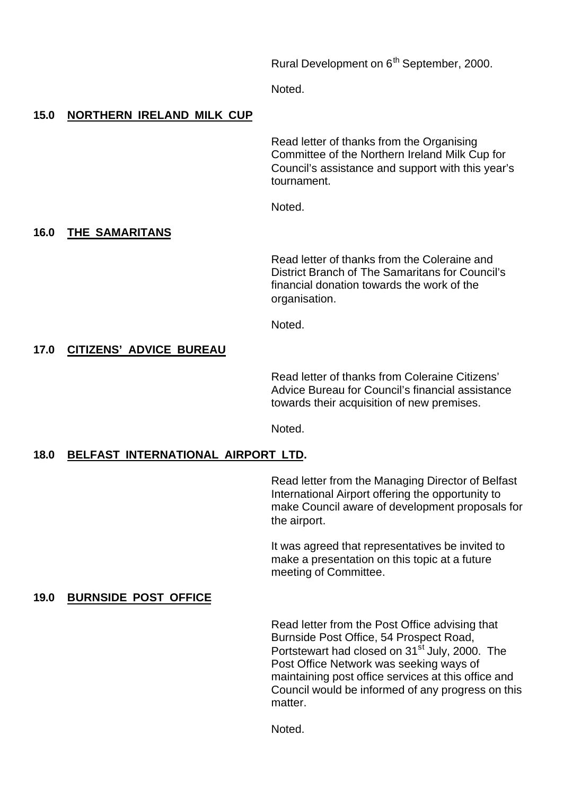Rural Development on 6<sup>th</sup> September, 2000.

Noted.

# **15.0 NORTHERN IRELAND MILK CUP**

Read letter of thanks from the Organising Committee of the Northern Ireland Milk Cup for Council's assistance and support with this year's tournament.

Noted.

# **16.0 THE SAMARITANS**

Read letter of thanks from the Coleraine and District Branch of The Samaritans for Council's financial donation towards the work of the organisation.

Noted.

# **17.0 CITIZENS' ADVICE BUREAU**

Read letter of thanks from Coleraine Citizens' Advice Bureau for Council's financial assistance towards their acquisition of new premises.

Noted.

## **18.0 BELFAST INTERNATIONAL AIRPORT LTD.**

Read letter from the Managing Director of Belfast International Airport offering the opportunity to make Council aware of development proposals for the airport.

It was agreed that representatives be invited to make a presentation on this topic at a future meeting of Committee.

## **19.0 BURNSIDE POST OFFICE**

Read letter from the Post Office advising that Burnside Post Office, 54 Prospect Road, Portstewart had closed on 31<sup>st</sup> July, 2000. The Post Office Network was seeking ways of maintaining post office services at this office and Council would be informed of any progress on this matter.

Noted.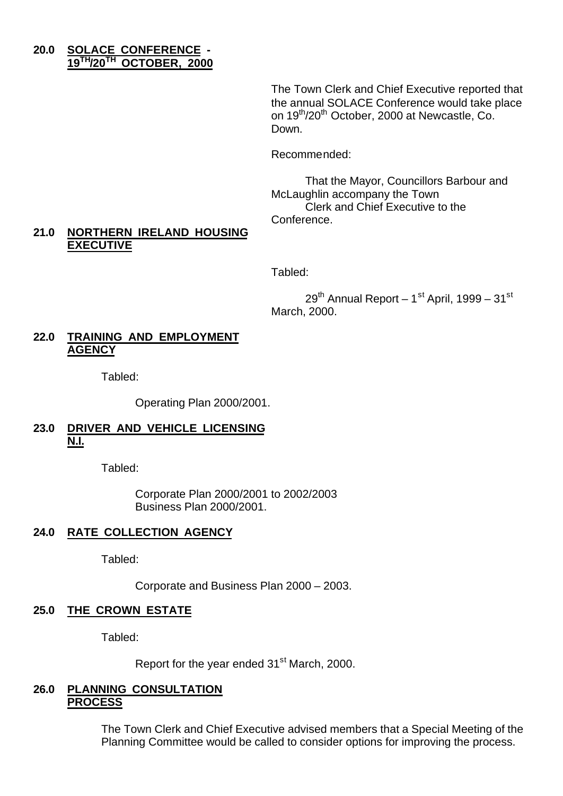## **20.0 SOLACE CONFERENCE - 19TH/20TH OCTOBER, 2000**

The Town Clerk and Chief Executive reported that the annual SOLACE Conference would take place on 19<sup>th</sup>/20<sup>th</sup> October, 2000 at Newcastle, Co. Down.

Recommended:

That the Mayor, Councillors Barbour and McLaughlin accompany the Town Clerk and Chief Executive to the Conference.

## **21.0 NORTHERN IRELAND HOUSING EXECUTIVE**

Tabled:

 $29^{th}$  Annual Report – 1st April, 1999 – 31st March, 2000.

## **22.0 TRAINING AND EMPLOYMENT AGENCY**

Tabled:

Operating Plan 2000/2001.

# **23.0 DRIVER AND VEHICLE LICENSING N.I.**

Tabled:

Corporate Plan 2000/2001 to 2002/2003 Business Plan 2000/2001.

# **24.0 RATE COLLECTION AGENCY**

Tabled:

Corporate and Business Plan 2000 – 2003.

## **25.0 THE CROWN ESTATE**

Tabled:

Report for the year ended 31<sup>st</sup> March, 2000.

### **26.0 PLANNING CONSULTATION PROCESS**

The Town Clerk and Chief Executive advised members that a Special Meeting of the Planning Committee would be called to consider options for improving the process.